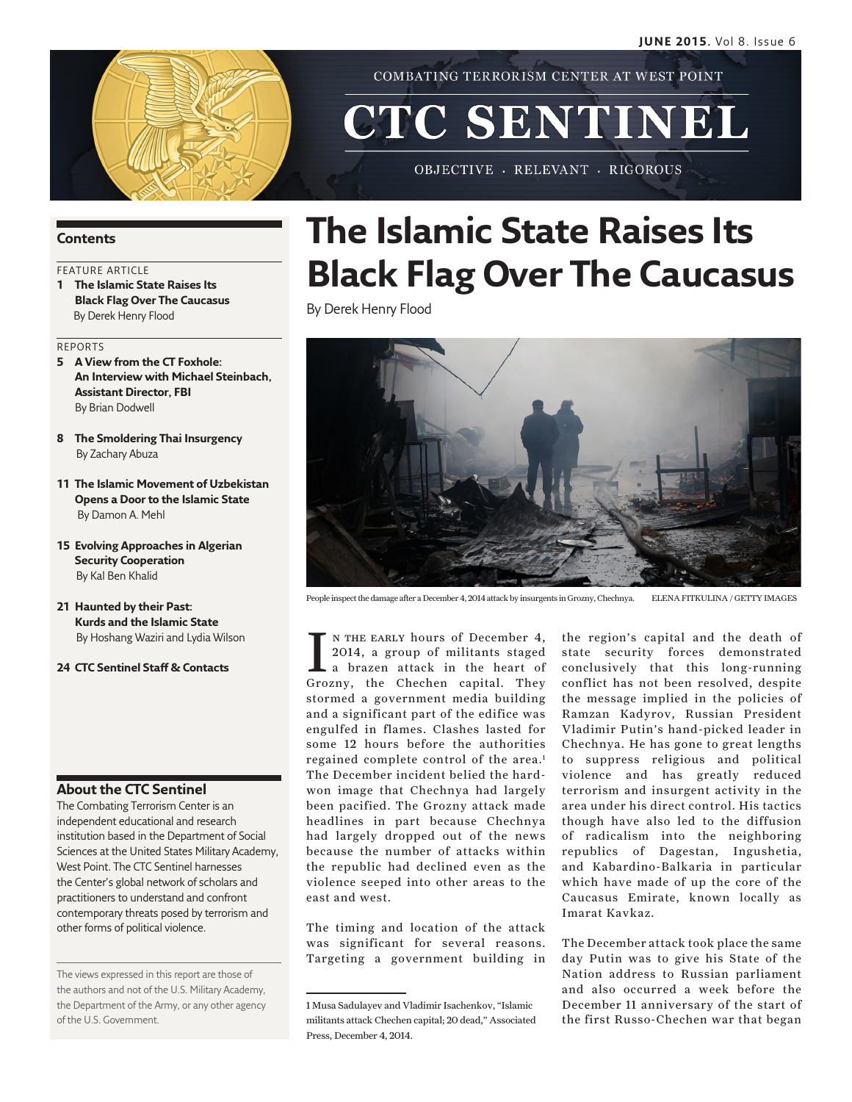

COMBATING TERRORISM CENTER AT WEST POINT

# CTC SENTINEL

OBJECTIVE - RELEVANT - RIGOROUS

#### **Contents**

### FEATURE ARTICLE

**1 The Islamic State Raises Its Black Flag Over The Caucasus** By Derek Henry Flood

#### REPORTS

- **5 A View from the CT Foxhole: An Interview with Michael Steinbach, Assistant Director, FBI** By Brian Dodwell
- **8 The Smoldering Thai Insurgency**  By Zachary Abuza
- **11 The Islamic Movement of Uzbekistan Opens a Door to the Islamic State**  By Damon A. Mehl
- **15 Evolving Approaches in Algerian Security Cooperation** By Kal Ben Khalid
- **21 Haunted by their Past: Kurds and the Islamic State** By Hoshang Waziri and Lydia Wilson
- **24 CTC Sentinel Staff & Contacts**

#### **About the CTC Sentinel**

The Combating Terrorism Center is an independent educational and research institution based in the Department of Social Sciences at the United States Military Academy, West Point. The CTC Sentinel harnesses the Center's global network of scholars and practitioners to understand and confront contemporary threats posed by terrorism and other forms of political violence.

The views expressed in this report are those of the authors and not of the U.S. Military Academy, the Department of the Army, or any other agency of the U.S. Government.

## **The Islamic State Raises Its Black Flag Over The Caucasus**

By Derek Henry Flood



People inspect the damage after a December 4, 2014 attack by insurgents in Grozny, Chechnya. ELENA FITKULINA / GETTY IMAGES

I N THE EARLY hours of December 4, 2014, a group of militants staged<br>a brazen attack in the heart of Grozny, the Chechen capital. They n the early hours of December 4, 2014, a group of militants staged a brazen attack in the heart of stormed a government media building and a significant part of the edifice was engulfed in flames. Clashes lasted for some 12 hours before the authorities regained complete control of the area.<sup>1</sup> The December incident belied the hardwon image that Chechnya had largely been pacified. The Grozny attack made headlines in part because Chechnya had largely dropped out of the news because the number of attacks within the republic had declined even as the violence seeped into other areas to the east and west.

The timing and location of the attack was significant for several reasons. Targeting a government building in the region's capital and the death of state security forces demonstrated conclusively that this long-running conflict has not been resolved, despite the message implied in the policies of Ramzan Kadyrov, Russian President Vladimir Putin's hand-picked leader in Chechnya. He has gone to great lengths to suppress religious and political violence and has greatly reduced terrorism and insurgent activity in the area under his direct control. His tactics though have also led to the diffusion of radicalism into the neighboring republics of Dagestan, Ingushetia, and Kabardino-Balkaria in particular which have made of up the core of the Caucasus Emirate, known locally as Imarat Kavkaz.

The December attack took place the same day Putin was to give his State of the Nation address to Russian parliament and also occurred a week before the December 11 anniversary of the start of the first Russo-Chechen war that began

<sup>1</sup> Musa Sadulayev and Vladimir Isachenkov, "Islamic militants attack Chechen capital; 20 dead," Associated Press, December 4, 2014.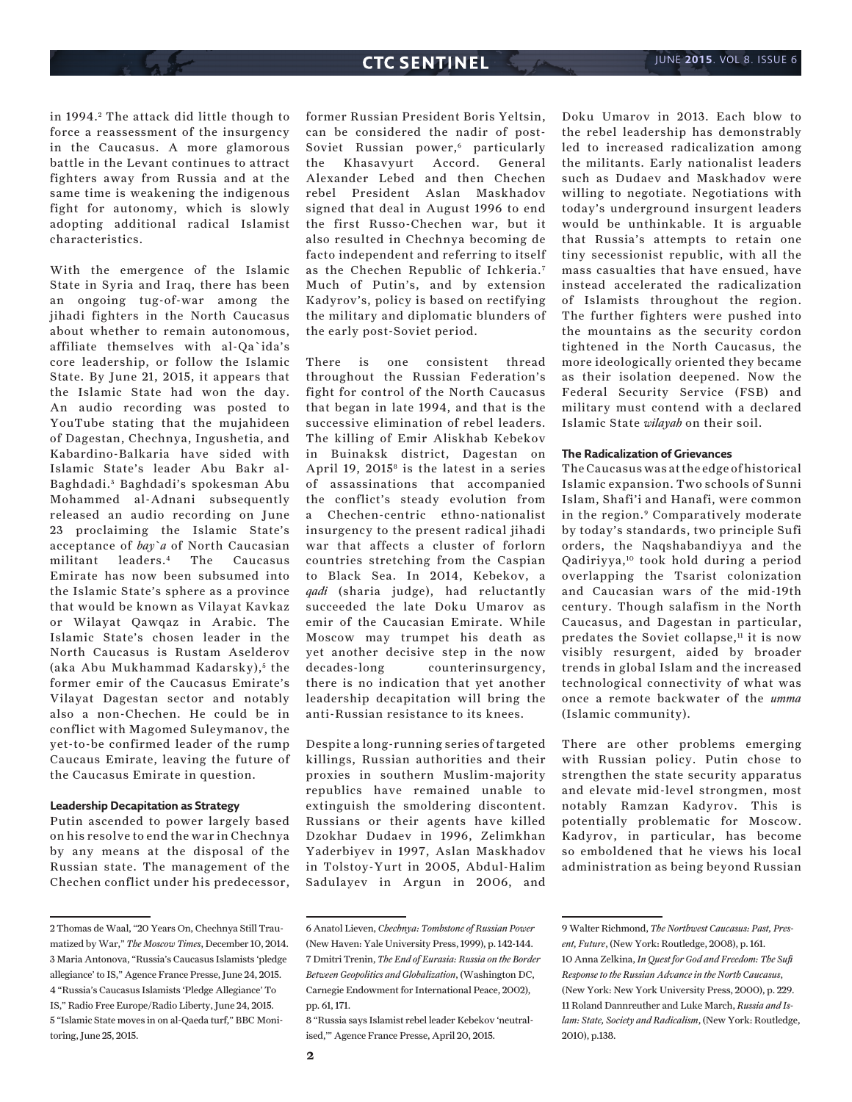in 1994.<sup>2</sup> The attack did little though to force a reassessment of the insurgency in the Caucasus. A more glamorous battle in the Levant continues to attract fighters away from Russia and at the same time is weakening the indigenous fight for autonomy, which is slowly adopting additional radical Islamist characteristics.

With the emergence of the Islamic State in Syria and Iraq, there has been an ongoing tug-of-war among the jihadi fighters in the North Caucasus about whether to remain autonomous, affiliate themselves with al-Qa`ida's core leadership, or follow the Islamic State. By June 21, 2015, it appears that the Islamic State had won the day. An audio recording was posted to YouTube stating that the mujahideen of Dagestan, Chechnya, Ingushetia, and Kabardino-Balkaria have sided with Islamic State's leader Abu Bakr al-Baghdadi. 3 Baghdadi's spokesman Abu Mohammed al-Adnani subsequently released an audio recording on June 23 proclaiming the Islamic State's acceptance of *bay`a* of North Caucasian militant leaders.4 The Caucasus Emirate has now been subsumed into the Islamic State's sphere as a province that would be known as Vilayat Kavkaz or Wilayat Qawqaz in Arabic. The Islamic State's chosen leader in the North Caucasus is Rustam Aselderov (aka Abu Mukhammad Kadarsky),<sup>5</sup> the former emir of the Caucasus Emirate's Vilayat Dagestan sector and notably also a non-Chechen. He could be in conflict with Magomed Suleymanov, the yet-to-be confirmed leader of the rump Caucaus Emirate, leaving the future of the Caucasus Emirate in question.

#### **Leadership Decapitation as Strategy**

Putin ascended to power largely based on his resolve to end the war in Chechnya by any means at the disposal of the Russian state. The management of the Chechen conflict under his predecessor,

former Russian President Boris Yeltsin, can be considered the nadir of post-Soviet Russian power,<sup>6</sup> particularly the Khasavyurt Accord. General Alexander Lebed and then Chechen rebel President Aslan Maskhadov signed that deal in August 1996 to end the first Russo-Chechen war, but it also resulted in Chechnya becoming de facto independent and referring to itself as the Chechen Republic of Ichkeria.<sup>7</sup> Much of Putin's, and by extension Kadyrov's, policy is based on rectifying the military and diplomatic blunders of the early post-Soviet period.

There is one consistent thread throughout the Russian Federation's fight for control of the North Caucasus that began in late 1994, and that is the successive elimination of rebel leaders. The killing of Emir Aliskhab Kebekov in Buinaksk district, Dagestan on April 19,  $2015<sup>8</sup>$  is the latest in a series of assassinations that accompanied the conflict's steady evolution from a Chechen-centric ethno-nationalist insurgency to the present radical jihadi war that affects a cluster of forlorn countries stretching from the Caspian to Black Sea. In 2014, Kebekov, a *qadi* (sharia judge), had reluctantly succeeded the late Doku Umarov as emir of the Caucasian Emirate. While Moscow may trumpet his death as yet another decisive step in the now decades-long counterinsurgency, there is no indication that yet another leadership decapitation will bring the anti-Russian resistance to its knees.

Despite a long-running series of targeted killings, Russian authorities and their proxies in southern Muslim-majority republics have remained unable to extinguish the smoldering discontent. Russians or their agents have killed Dzokhar Dudaev in 1996, Zelimkhan Yaderbiyev in 1997, Aslan Maskhadov in Tolstoy-Yurt in 2005, Abdul-Halim Sadulayev in Argun in 2006, and

Doku Umarov in 2013. Each blow to the rebel leadership has demonstrably led to increased radicalization among the militants. Early nationalist leaders such as Dudaev and Maskhadov were willing to negotiate. Negotiations with today's underground insurgent leaders would be unthinkable. It is arguable that Russia's attempts to retain one tiny secessionist republic, with all the mass casualties that have ensued, have instead accelerated the radicalization of Islamists throughout the region. The further fighters were pushed into the mountains as the security cordon tightened in the North Caucasus, the more ideologically oriented they became as their isolation deepened. Now the Federal Security Service (FSB) and military must contend with a declared Islamic State *wilayah* on their soil.

#### **The Radicalization of Grievances**

The Caucasus was at the edge of historical Islamic expansion. Two schools of Sunni Islam, Shafi'i and Hanafi, were common in the region.9 Comparatively moderate by today's standards, two principle Sufi orders, the Naqshabandiyya and the Qadiriyya,10 took hold during a period overlapping the Tsarist colonization and Caucasian wars of the mid-19th century. Though salafism in the North Caucasus, and Dagestan in particular, predates the Soviet collapse, $<sup>11</sup>$  it is now</sup> visibly resurgent, aided by broader trends in global Islam and the increased technological connectivity of what was once a remote backwater of the *umma* (Islamic community).

There are other problems emerging with Russian policy. Putin chose to strengthen the state security apparatus and elevate mid-level strongmen, most notably Ramzan Kadyrov. This is potentially problematic for Moscow. Kadyrov, in particular, has become so emboldened that he views his local administration as being beyond Russian

8 "Russia says Islamist rebel leader Kebekov 'neutralised,'" Agence France Presse, April 20, 2015.

<sup>2</sup> Thomas de Waal, "20 Years On, Chechnya Still Traumatized by War," *The Moscow Times*, December 10, 2014. 3 Maria Antonova, "Russia's Caucasus Islamists 'pledge allegiance' to IS," Agence France Presse, June 24, 2015. 4 "Russia's Caucasus Islamists 'Pledge Allegiance' To IS," Radio Free Europe/Radio Liberty, June 24, 2015. 5 "Islamic State moves in on al-Qaeda turf," BBC Monitoring, June 25, 2015.

<sup>6</sup> Anatol Lieven, *Chechnya: Tombstone of Russian Power*  (New Haven: Yale University Press, 1999), p. 142-144. 7 Dmitri Trenin, *The End of Eurasia: Russia on the Border Between Geopolitics and Globalization*, (Washington DC, Carnegie Endowment for International Peace, 2002), pp. 61, 171.

<sup>9</sup> Walter Richmond, *The Northwest Caucasus: Past, Present, Future*, (New York: Routledge, 2008), p. 161. 10 Anna Zelkina, *In Quest for God and Freedom: The Sufi Response to the Russian Advance in the North Caucasus*, (New York: New York University Press, 2000), p. 229. 11 Roland Dannreuther and Luke March, *Russia and Islam: State, Society and Radicalism*, (New York: Routledge, 2010), p.138.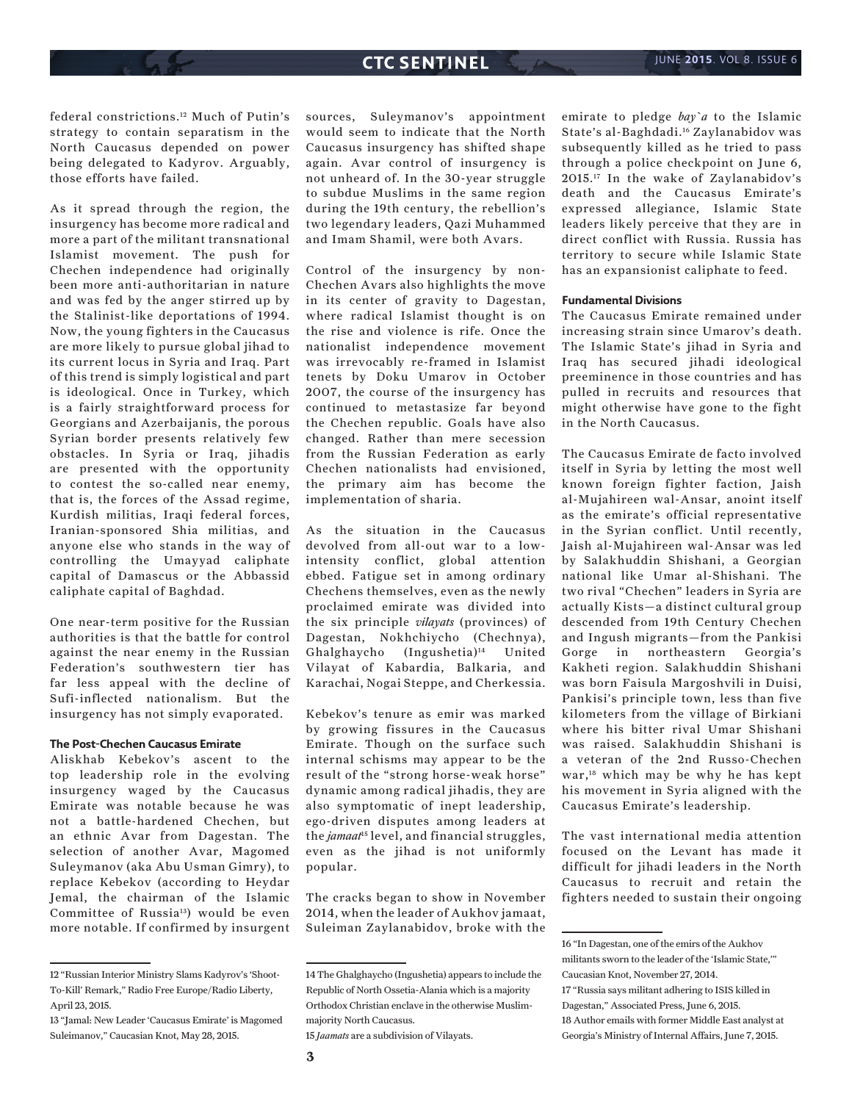federal constrictions.12 Much of Putin's strategy to contain separatism in the North Caucasus depended on power being delegated to Kadyrov. Arguably, those efforts have failed.

As it spread through the region, the insurgency has become more radical and more a part of the militant transnational Islamist movement. The push for Chechen independence had originally been more anti-authoritarian in nature and was fed by the anger stirred up by the Stalinist-like deportations of 1994. Now, the young fighters in the Caucasus are more likely to pursue global jihad to its current locus in Syria and Iraq. Part of this trend is simply logistical and part is ideological. Once in Turkey, which is a fairly straightforward process for Georgians and Azerbaijanis, the porous Syrian border presents relatively few obstacles. In Syria or Iraq, jihadis are presented with the opportunity to contest the so-called near enemy, that is, the forces of the Assad regime, Kurdish militias, Iraqi federal forces, Iranian-sponsored Shia militias, and anyone else who stands in the way of controlling the Umayyad caliphate capital of Damascus or the Abbassid caliphate capital of Baghdad.

One near-term positive for the Russian authorities is that the battle for control against the near enemy in the Russian Federation's southwestern tier has far less appeal with the decline of Sufi-inflected nationalism. But the insurgency has not simply evaporated.

#### **The Post-Chechen Caucasus Emirate**

Aliskhab Kebekov's ascent to the top leadership role in the evolving insurgency waged by the Caucasus Emirate was notable because he was not a battle-hardened Chechen, but an ethnic Avar from Dagestan. The selection of another Avar, Magomed Suleymanov (aka Abu Usman Gimry), to replace Kebekov (according to Heydar Jemal, the chairman of the Islamic Committee of Russia<sup>13</sup>) would be even more notable. If confirmed by insurgent

sources, Suleymanov's appointment would seem to indicate that the North Caucasus insurgency has shifted shape again. Avar control of insurgency is not unheard of. In the 30-year struggle to subdue Muslims in the same region during the 19th century, the rebellion's two legendary leaders, Qazi Muhammed and Imam Shamil, were both Avars.

Control of the insurgency by non-Chechen Avars also highlights the move in its center of gravity to Dagestan, where radical Islamist thought is on the rise and violence is rife. Once the nationalist independence movement was irrevocably re-framed in Islamist tenets by Doku Umarov in October 2007, the course of the insurgency has continued to metastasize far beyond the Chechen republic. Goals have also changed. Rather than mere secession from the Russian Federation as early Chechen nationalists had envisioned, the primary aim has become the implementation of sharia.

As the situation in the Caucasus devolved from all-out war to a lowintensity conflict, global attention ebbed. Fatigue set in among ordinary Chechens themselves, even as the newly proclaimed emirate was divided into the six principle *vilayats* (provinces) of Dagestan, Nokhchiycho (Chechnya), Ghalghaycho (Ingushetia)14 United Vilayat of Kabardia, Balkaria, and Karachai, Nogai Steppe, and Cherkessia.

Kebekov's tenure as emir was marked by growing fissures in the Caucasus Emirate. Though on the surface such internal schisms may appear to be the result of the "strong horse-weak horse" dynamic among radical jihadis, they are also symptomatic of inept leadership, ego-driven disputes among leaders at the *jamaat*15 level, and financial struggles, even as the jihad is not uniformly popular.

The cracks began to show in November 2014, when the leader of Aukhov jamaat, Suleiman Zaylanabidov, broke with the emirate to pledge *bay`a* to the Islamic State's al-Baghdadi.16 Zaylanabidov was subsequently killed as he tried to pass through a police checkpoint on June 6, 2015.17 In the wake of Zaylanabidov's death and the Caucasus Emirate's expressed allegiance, Islamic State leaders likely perceive that they are in direct conflict with Russia. Russia has territory to secure while Islamic State has an expansionist caliphate to feed.

#### **Fundamental Divisions**

The Caucasus Emirate remained under increasing strain since Umarov's death. The Islamic State's jihad in Syria and Iraq has secured jihadi ideological preeminence in those countries and has pulled in recruits and resources that might otherwise have gone to the fight in the North Caucasus.

The Caucasus Emirate de facto involved itself in Syria by letting the most well known foreign fighter faction, Jaish al-Mujahireen wal-Ansar, anoint itself as the emirate's official representative in the Syrian conflict. Until recently, Jaish al-Mujahireen wal-Ansar was led by Salakhuddin Shishani, a Georgian national like Umar al-Shishani. The two rival "Chechen" leaders in Syria are actually Kists—a distinct cultural group descended from 19th Century Chechen and Ingush migrants—from the Pankisi Gorge in northeastern Georgia's Kakheti region. Salakhuddin Shishani was born Faisula Margoshvili in Duisi, Pankisi's principle town, less than five kilometers from the village of Birkiani where his bitter rival Umar Shishani was raised. Salakhuddin Shishani is a veteran of the 2nd Russo-Chechen war,18 which may be why he has kept his movement in Syria aligned with the Caucasus Emirate's leadership.

The vast international media attention focused on the Levant has made it difficult for jihadi leaders in the North Caucasus to recruit and retain the fighters needed to sustain their ongoing

<sup>12 &</sup>quot;Russian Interior Ministry Slams Kadyrov's 'Shoot-To-Kill' Remark," Radio Free Europe/Radio Liberty, April 23, 2015.

<sup>13 &</sup>quot;Jamal: New Leader 'Caucasus Emirate' is Magomed Suleimanov," Caucasian Knot, May 28, 2015.

<sup>14</sup> The Ghalghaycho (Ingushetia) appears to include the Republic of North Ossetia-Alania which is a majority Orthodox Christian enclave in the otherwise Muslimmajority North Caucasus.

<sup>15</sup> *Jaamats* are a subdivision of Vilayats.

<sup>16 &</sup>quot;In Dagestan, one of the emirs of the Aukhov militants sworn to the leader of the 'Islamic State,'" Caucasian Knot, November 27, 2014.

<sup>17 &</sup>quot;Russia says militant adhering to ISIS killed in Dagestan," Associated Press, June 6, 2015. 18 Author emails with former Middle East analyst at Georgia's Ministry of Internal Affairs, June 7, 2015.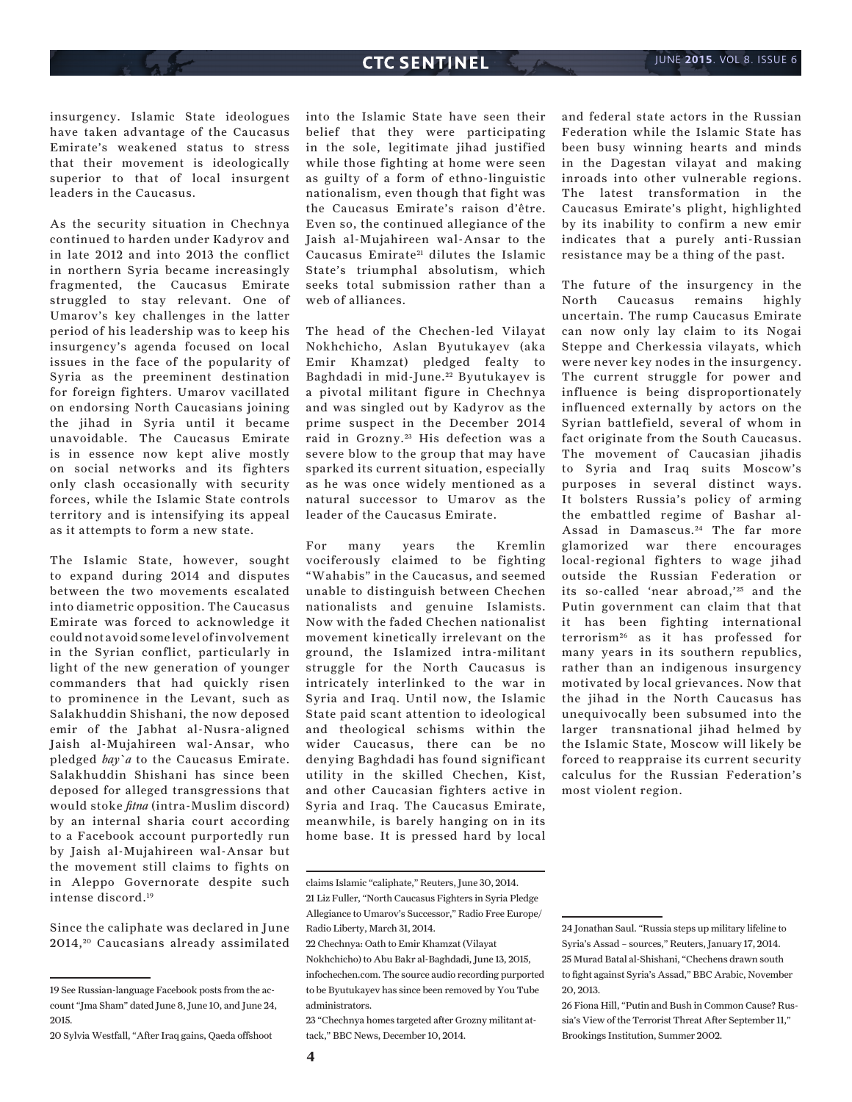insurgency. Islamic State ideologues have taken advantage of the Caucasus Emirate's weakened status to stress that their movement is ideologically superior to that of local insurgent leaders in the Caucasus.

As the security situation in Chechnya continued to harden under Kadyrov and in late 2012 and into 2013 the conflict in northern Syria became increasingly fragmented, the Caucasus Emirate struggled to stay relevant. One of Umarov's key challenges in the latter period of his leadership was to keep his insurgency's agenda focused on local issues in the face of the popularity of Syria as the preeminent destination for foreign fighters. Umarov vacillated on endorsing North Caucasians joining the jihad in Syria until it became unavoidable. The Caucasus Emirate is in essence now kept alive mostly on social networks and its fighters only clash occasionally with security forces, while the Islamic State controls territory and is intensifying its appeal as it attempts to form a new state.

The Islamic State, however, sought to expand during 2014 and disputes between the two movements escalated into diametric opposition. The Caucasus Emirate was forced to acknowledge it could not avoid some level of involvement in the Syrian conflict, particularly in light of the new generation of younger commanders that had quickly risen to prominence in the Levant, such as Salakhuddin Shishani, the now deposed emir of the Jabhat al-Nusra-aligned Jaish al-Mujahireen wal-Ansar, who pledged *bay`a* to the Caucasus Emirate. Salakhuddin Shishani has since been deposed for alleged transgressions that would stoke *fitna* (intra-Muslim discord) by an internal sharia court according to a Facebook account purportedly run by Jaish al-Mujahireen wal-Ansar but the movement still claims to fights on in Aleppo Governorate despite such intense discord.19

Since the caliphate was declared in June 2014, 20 Caucasians already assimilated

into the Islamic State have seen their belief that they were participating in the sole, legitimate jihad justified while those fighting at home were seen as guilty of a form of ethno-linguistic nationalism, even though that fight was the Caucasus Emirate's raison d'être. Even so, the continued allegiance of the Jaish al-Mujahireen wal-Ansar to the Caucasus Emirate<sup>21</sup> dilutes the Islamic State's triumphal absolutism, which seeks total submission rather than a web of alliances.

The head of the Chechen-led Vilayat Nokhchicho, Aslan Byutukayev (aka Emir Khamzat) pledged fealty to Baghdadi in mid-June.<sup>22</sup> Byutukayev is a pivotal militant figure in Chechnya and was singled out by Kadyrov as the prime suspect in the December 2014 raid in Grozny.<sup>23</sup> His defection was a severe blow to the group that may have sparked its current situation, especially as he was once widely mentioned as a natural successor to Umarov as the leader of the Caucasus Emirate.

For many years the Kremlin vociferously claimed to be fighting "Wahabis" in the Caucasus, and seemed unable to distinguish between Chechen nationalists and genuine Islamists. Now with the faded Chechen nationalist movement kinetically irrelevant on the ground, the Islamized intra-militant struggle for the North Caucasus is intricately interlinked to the war in Syria and Iraq. Until now, the Islamic State paid scant attention to ideological and theological schisms within the wider Caucasus, there can be no denying Baghdadi has found significant utility in the skilled Chechen, Kist, and other Caucasian fighters active in Syria and Iraq. The Caucasus Emirate, meanwhile, is barely hanging on in its home base. It is pressed hard by local

23 "Chechnya homes targeted after Grozny militant attack," BBC News, December 10, 2014.

and federal state actors in the Russian Federation while the Islamic State has been busy winning hearts and minds in the Dagestan vilayat and making inroads into other vulnerable regions. The latest transformation in the Caucasus Emirate's plight, highlighted by its inability to confirm a new emir indicates that a purely anti-Russian resistance may be a thing of the past.

The future of the insurgency in the North Caucasus remains highly uncertain. The rump Caucasus Emirate can now only lay claim to its Nogai Steppe and Cherkessia vilayats, which were never key nodes in the insurgency. The current struggle for power and influence is being disproportionately influenced externally by actors on the Syrian battlefield, several of whom in fact originate from the South Caucasus. The movement of Caucasian jihadis to Syria and Iraq suits Moscow's purposes in several distinct ways. It bolsters Russia's policy of arming the embattled regime of Bashar al-Assad in Damascus.<sup>24</sup> The far more glamorized war there encourages local-regional fighters to wage jihad outside the Russian Federation or its so-called 'near abroad,'<sup>25</sup> and the Putin government can claim that that it has been fighting international terrorism26 as it has professed for many years in its southern republics, rather than an indigenous insurgency motivated by local grievances. Now that the jihad in the North Caucasus has unequivocally been subsumed into the larger transnational jihad helmed by the Islamic State, Moscow will likely be forced to reappraise its current security calculus for the Russian Federation's most violent region.

<sup>19</sup> See Russian-language Facebook posts from the account "Jma Sham" dated June 8, June 10, and June 24, 2015.

<sup>20</sup> Sylvia Westfall, "After Iraq gains, Qaeda offshoot

claims Islamic "caliphate," Reuters, June 30, 2014. 21 Liz Fuller, "North Caucasus Fighters in Syria Pledge Allegiance to Umarov's Successor," Radio Free Europe/ Radio Liberty, March 31, 2014.

<sup>22</sup> Chechnya: Oath to Emir Khamzat (Vilayat Nokhchicho) to Abu Bakr al-Baghdadi, June 13, 2015, infochechen.com. The source audio recording purported to be Byutukayev has since been removed by You Tube administrators.

<sup>24</sup> Jonathan Saul. "Russia steps up military lifeline to Syria's Assad – sources," Reuters, January 17, 2014. 25 Murad Batal al-Shishani, "Chechens drawn south to fight against Syria's Assad," BBC Arabic, November 20, 2013.

<sup>26</sup> Fiona Hill, "Putin and Bush in Common Cause? Russia's View of the Terrorist Threat After September 11," Brookings Institution, Summer 2002.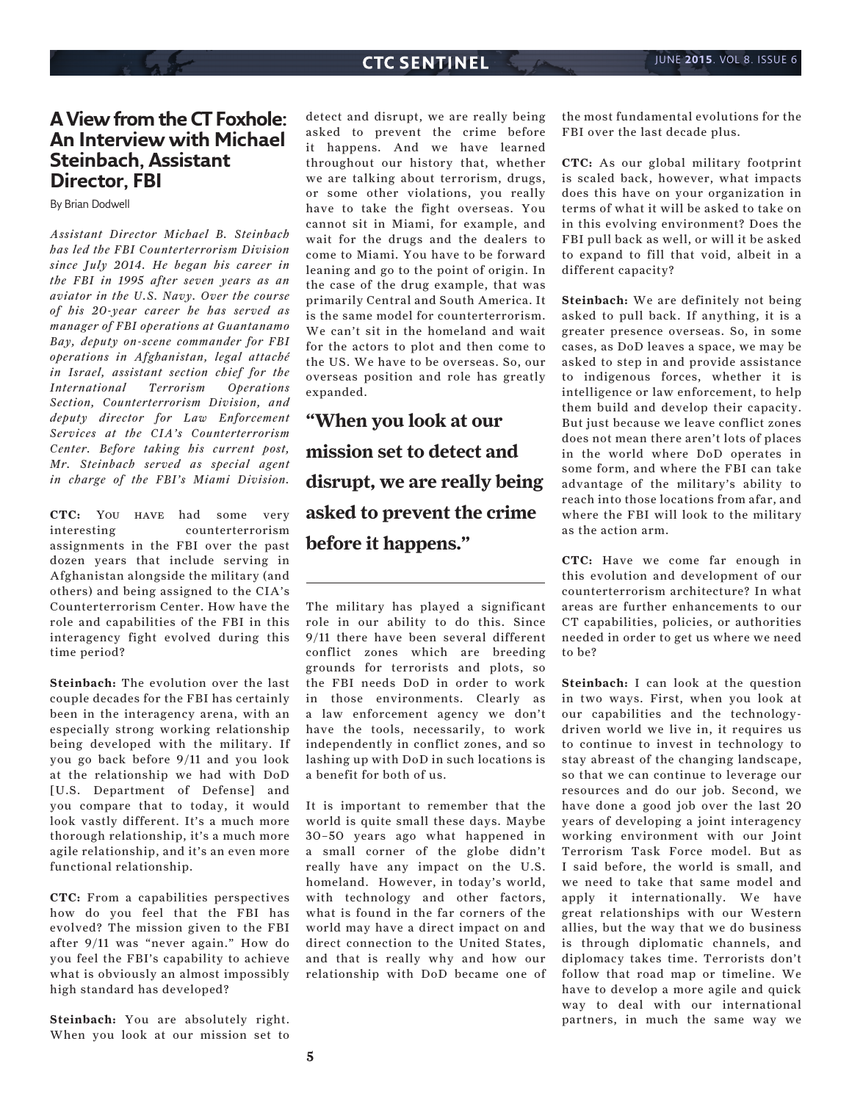## **A View from the CT Foxhole: An Interview with Michael Steinbach, Assistant Director, FBI**

By Brian Dodwell

*Assistant Director Michael B. Steinbach has led the FBI Counterterrorism Division since July 2014. He began his career in the FBI in 1995 after seven years as an aviator in the U.S. Navy. Over the course of his 20-year career he has served as manager of FBI operations at Guantanamo Bay, deputy on-scene commander for FBI operations in Afghanistan, legal attaché in Israel, assistant section chief for the International Terrorism Operations Section, Counterterrorism Division, and deputy director for Law Enforcement Services at the CIA's Counterterrorism Center. Before taking his current post, Mr. Steinbach served as special agent in charge of the FBI's Miami Division.*

**CTC:** You have had some very interesting counterterrorism assignments in the FBI over the past dozen years that include serving in Afghanistan alongside the military (and others) and being assigned to the CIA's Counterterrorism Center. How have the role and capabilities of the FBI in this interagency fight evolved during this time period?

**Steinbach:** The evolution over the last couple decades for the FBI has certainly been in the interagency arena, with an especially strong working relationship being developed with the military. If you go back before 9/11 and you look at the relationship we had with DoD [U.S. Department of Defense] and you compare that to today, it would look vastly different. It's a much more thorough relationship, it's a much more agile relationship, and it's an even more functional relationship.

**CTC:** From a capabilities perspectives how do you feel that the FBI has evolved? The mission given to the FBI after 9/11 was "never again." How do you feel the FBI's capability to achieve what is obviously an almost impossibly high standard has developed?

**Steinbach:** You are absolutely right. When you look at our mission set to detect and disrupt, we are really being asked to prevent the crime before it happens. And we have learned throughout our history that, whether we are talking about terrorism, drugs, or some other violations, you really have to take the fight overseas. You cannot sit in Miami, for example, and wait for the drugs and the dealers to come to Miami. You have to be forward leaning and go to the point of origin. In the case of the drug example, that was primarily Central and South America. It is the same model for counterterrorism. We can't sit in the homeland and wait for the actors to plot and then come to the US. We have to be overseas. So, our overseas position and role has greatly expanded.

**"When you look at our mission set to detect and disrupt, we are really being asked to prevent the crime before it happens."**

The military has played a significant role in our ability to do this. Since 9/11 there have been several different conflict zones which are breeding grounds for terrorists and plots, so the FBI needs DoD in order to work in those environments. Clearly as a law enforcement agency we don't have the tools, necessarily, to work independently in conflict zones, and so lashing up with DoD in such locations is a benefit for both of us.

It is important to remember that the world is quite small these days. Maybe 30–50 years ago what happened in a small corner of the globe didn't really have any impact on the U.S. homeland. However, in today's world, with technology and other factors, what is found in the far corners of the world may have a direct impact on and direct connection to the United States, and that is really why and how our relationship with DoD became one of the most fundamental evolutions for the FBI over the last decade plus.

**CTC:** As our global military footprint is scaled back, however, what impacts does this have on your organization in terms of what it will be asked to take on in this evolving environment? Does the FBI pull back as well, or will it be asked to expand to fill that void, albeit in a different capacity?

**Steinbach:** We are definitely not being asked to pull back. If anything, it is a greater presence overseas. So, in some cases, as DoD leaves a space, we may be asked to step in and provide assistance to indigenous forces, whether it is intelligence or law enforcement, to help them build and develop their capacity. But just because we leave conflict zones does not mean there aren't lots of places in the world where DoD operates in some form, and where the FBI can take advantage of the military's ability to reach into those locations from afar, and where the FBI will look to the military as the action arm.

**CTC:** Have we come far enough in this evolution and development of our counterterrorism architecture? In what areas are further enhancements to our CT capabilities, policies, or authorities needed in order to get us where we need to be?

**Steinbach:** I can look at the question in two ways. First, when you look at our capabilities and the technologydriven world we live in, it requires us to continue to invest in technology to stay abreast of the changing landscape, so that we can continue to leverage our resources and do our job. Second, we have done a good job over the last 20 years of developing a joint interagency working environment with our Joint Terrorism Task Force model. But as I said before, the world is small, and we need to take that same model and apply it internationally. We have great relationships with our Western allies, but the way that we do business is through diplomatic channels, and diplomacy takes time. Terrorists don't follow that road map or timeline. We have to develop a more agile and quick way to deal with our international partners, in much the same way we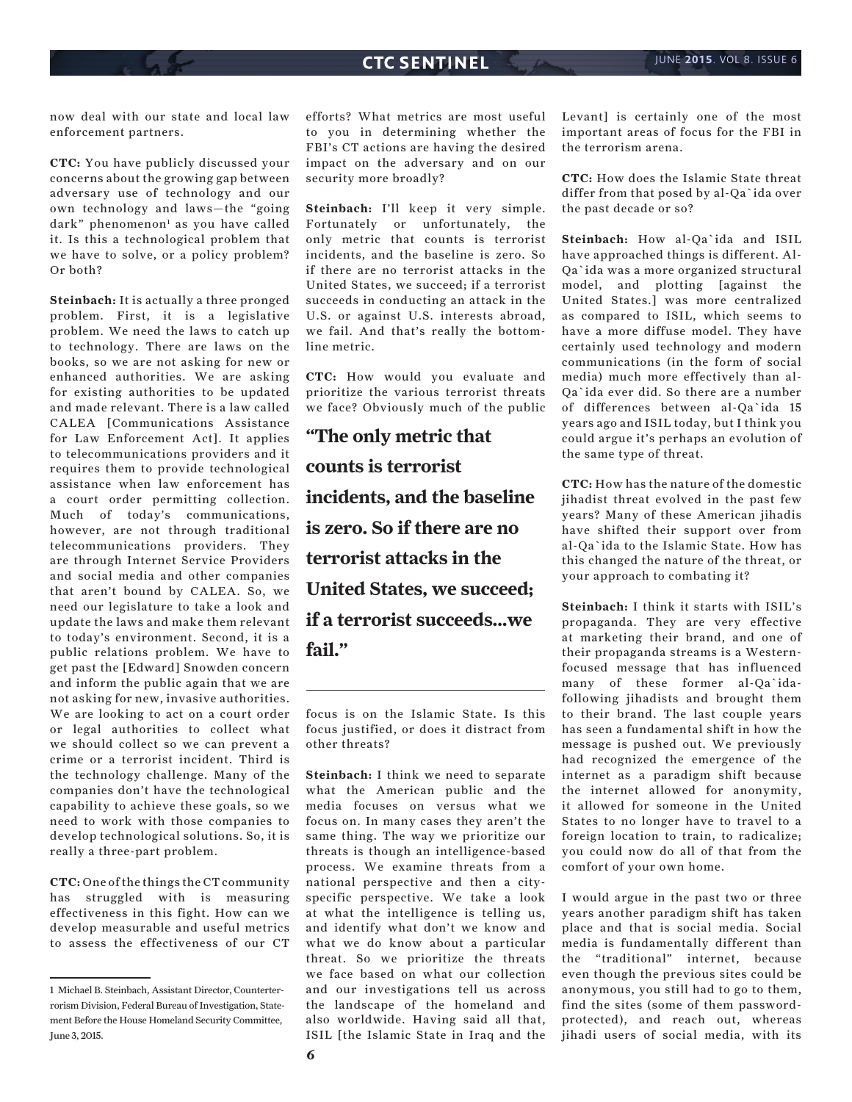now deal with our state and local law enforcement partners.

**CTC:** You have publicly discussed your concerns about the growing gap between adversary use of technology and our own technology and laws—the "going dark" phenomenon<sup>1</sup> as you have called it. Is this a technological problem that we have to solve, or a policy problem? Or both?

**Steinbach:** It is actually a three pronged problem. First, it is a legislative problem. We need the laws to catch up to technology. There are laws on the books, so we are not asking for new or enhanced authorities. We are asking for existing authorities to be updated and made relevant. There is a law called CALEA [Communications Assistance for Law Enforcement Act]. It applies to telecommunications providers and it requires them to provide technological assistance when law enforcement has a court order permitting collection. Much of today's communications, however, are not through traditional telecommunications providers. They are through Internet Service Providers and social media and other companies that aren't bound by CALEA. So, we need our legislature to take a look and update the laws and make them relevant to today's environment. Second, it is a public relations problem. We have to get past the [Edward] Snowden concern and inform the public again that we are not asking for new, invasive authorities. We are looking to act on a court order or legal authorities to collect what we should collect so we can prevent a crime or a terrorist incident. Third is the technology challenge. Many of the companies don't have the technological capability to achieve these goals, so we need to work with those companies to develop technological solutions. So, it is really a three-part problem.

**CTC:** One of the things the CT community has struggled with is measuring effectiveness in this fight. How can we develop measurable and useful metrics to assess the effectiveness of our CT

efforts? What metrics are most useful to you in determining whether the FBI's CT actions are having the desired impact on the adversary and on our security more broadly?

**Steinbach:** I'll keep it very simple. Fortunately or unfortunately, the only metric that counts is terrorist incidents, and the baseline is zero. So if there are no terrorist attacks in the United States, we succeed; if a terrorist succeeds in conducting an attack in the U.S. or against U.S. interests abroad, we fail. And that's really the bottomline metric.

**CTC:** How would you evaluate and prioritize the various terrorist threats we face? Obviously much of the public

**"The only metric that counts is terrorist incidents, and the baseline is zero. So if there are no terrorist attacks in the United States, we succeed; if a terrorist succeeds...we fail."**

focus is on the Islamic State. Is this focus justified, or does it distract from other threats?

**Steinbach:** I think we need to separate what the American public and the media focuses on versus what we focus on. In many cases they aren't the same thing. The way we prioritize our threats is though an intelligence-based process. We examine threats from a national perspective and then a cityspecific perspective. We take a look at what the intelligence is telling us, and identify what don't we know and what we do know about a particular threat. So we prioritize the threats we face based on what our collection and our investigations tell us across the landscape of the homeland and also worldwide. Having said all that, ISIL [the Islamic State in Iraq and the Levant] is certainly one of the most important areas of focus for the FBI in the terrorism arena.

**CTC:** How does the Islamic State threat differ from that posed by al-Qa`ida over the past decade or so?

**Steinbach:** How al-Qa`ida and ISIL have approached things is different. Al-Qa`ida was a more organized structural model, and plotting [against the United States.] was more centralized as compared to ISIL, which seems to have a more diffuse model. They have certainly used technology and modern communications (in the form of social media) much more effectively than al-Qa`ida ever did. So there are a number of differences between al-Qa`ida 15 years ago and ISIL today, but I think you could argue it's perhaps an evolution of the same type of threat.

**CTC:** How has the nature of the domestic jihadist threat evolved in the past few years? Many of these American jihadis have shifted their support over from al-Qa`ida to the Islamic State. How has this changed the nature of the threat, or your approach to combating it?

**Steinbach:** I think it starts with ISIL's propaganda. They are very effective at marketing their brand, and one of their propaganda streams is a Westernfocused message that has influenced many of these former al-Qa`idafollowing jihadists and brought them to their brand. The last couple years has seen a fundamental shift in how the message is pushed out. We previously had recognized the emergence of the internet as a paradigm shift because the internet allowed for anonymity, it allowed for someone in the United States to no longer have to travel to a foreign location to train, to radicalize; you could now do all of that from the comfort of your own home.

I would argue in the past two or three years another paradigm shift has taken place and that is social media. Social media is fundamentally different than the "traditional" internet, because even though the previous sites could be anonymous, you still had to go to them, find the sites (some of them passwordprotected), and reach out, whereas jihadi users of social media, with its

<sup>1</sup> Michael B. Steinbach, Assistant Director, Counterterrorism Division, Federal Bureau of Investigation, Statement Before the House Homeland Security Committee, June 3, 2015.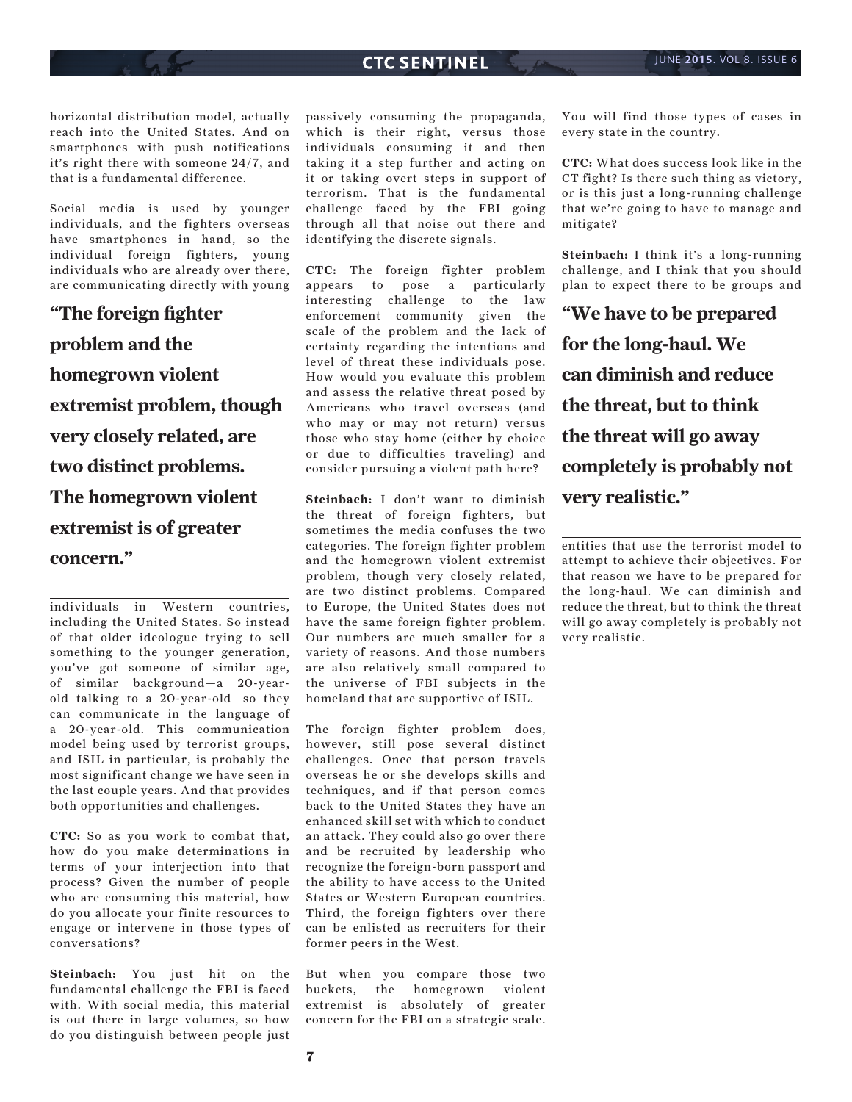horizontal distribution model, actually reach into the United States. And on smartphones with push notifications it's right there with someone 24/7, and that is a fundamental difference.

Social media is used by younger individuals, and the fighters overseas have smartphones in hand, so the individual foreign fighters, young individuals who are already over there, are communicating directly with young

**"The foreign fighter problem and the homegrown violent extremist problem, though very closely related, are two distinct problems. The homegrown violent extremist is of greater concern."**

individuals in Western countries, including the United States. So instead of that older ideologue trying to sell something to the younger generation, you've got someone of similar age, of similar background—a 20-yearold talking to a 20-year-old—so they can communicate in the language of a 20-year-old. This communication model being used by terrorist groups, and ISIL in particular, is probably the most significant change we have seen in the last couple years. And that provides both opportunities and challenges.

**CTC:** So as you work to combat that, how do you make determinations in terms of your interjection into that process? Given the number of people who are consuming this material, how do you allocate your finite resources to engage or intervene in those types of conversations?

**Steinbach:** You just hit on the fundamental challenge the FBI is faced with. With social media, this material is out there in large volumes, so how do you distinguish between people just passively consuming the propaganda, which is their right, versus those individuals consuming it and then taking it a step further and acting on it or taking overt steps in support of terrorism. That is the fundamental challenge faced by the FBI—going through all that noise out there and identifying the discrete signals.

**CTC:** The foreign fighter problem appears to pose a particularly interesting challenge to the law enforcement community given the scale of the problem and the lack of certainty regarding the intentions and level of threat these individuals pose. How would you evaluate this problem and assess the relative threat posed by Americans who travel overseas (and who may or may not return) versus those who stay home (either by choice or due to difficulties traveling) and consider pursuing a violent path here?

**Steinbach:** I don't want to diminish the threat of foreign fighters, but sometimes the media confuses the two categories. The foreign fighter problem and the homegrown violent extremist problem, though very closely related, are two distinct problems. Compared to Europe, the United States does not have the same foreign fighter problem. Our numbers are much smaller for a variety of reasons. And those numbers are also relatively small compared to the universe of FBI subjects in the homeland that are supportive of ISIL.

The foreign fighter problem does, however, still pose several distinct challenges. Once that person travels overseas he or she develops skills and techniques, and if that person comes back to the United States they have an enhanced skill set with which to conduct an attack. They could also go over there and be recruited by leadership who recognize the foreign-born passport and the ability to have access to the United States or Western European countries. Third, the foreign fighters over there can be enlisted as recruiters for their former peers in the West.

But when you compare those two buckets, the homegrown violent extremist is absolutely of greater concern for the FBI on a strategic scale.

You will find those types of cases in every state in the country.

**CTC:** What does success look like in the CT fight? Is there such thing as victory, or is this just a long-running challenge that we're going to have to manage and mitigate?

**Steinbach:** I think it's a long-running challenge, and I think that you should plan to expect there to be groups and

**"We have to be prepared for the long-haul. We can diminish and reduce the threat, but to think the threat will go away completely is probably not very realistic."**

entities that use the terrorist model to attempt to achieve their objectives. For that reason we have to be prepared for the long-haul. We can diminish and reduce the threat, but to think the threat will go away completely is probably not very realistic.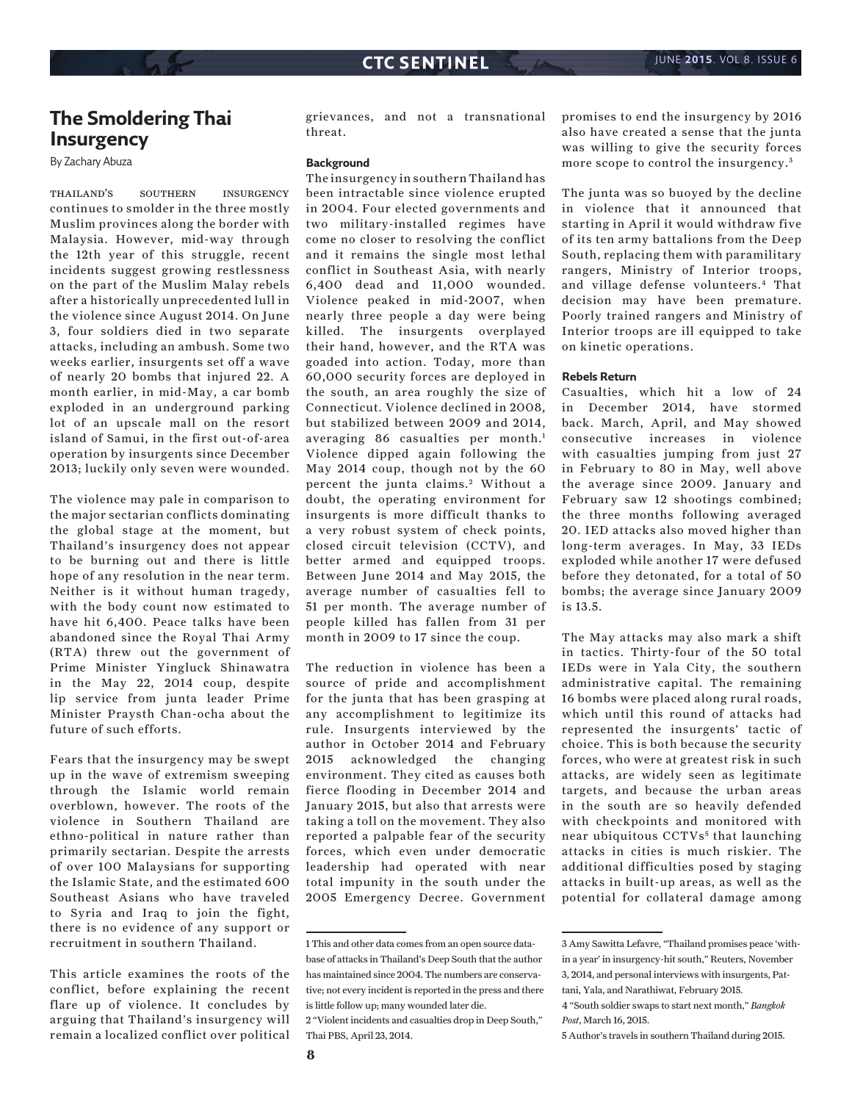## **The Smoldering Thai Insurgency**

By Zachary Abuza

thailand's southern insurgency continues to smolder in the three mostly Muslim provinces along the border with Malaysia. However, mid-way through the 12th year of this struggle, recent incidents suggest growing restlessness on the part of the Muslim Malay rebels after a historically unprecedented lull in the violence since August 2014. On June 3, four soldiers died in two separate attacks, including an ambush. Some two weeks earlier, insurgents set off a wave of nearly 20 bombs that injured 22. A month earlier, in mid-May, a car bomb exploded in an underground parking lot of an upscale mall on the resort island of Samui, in the first out-of-area operation by insurgents since December 2013; luckily only seven were wounded.

The violence may pale in comparison to the major sectarian conflicts dominating the global stage at the moment, but Thailand's insurgency does not appear to be burning out and there is little hope of any resolution in the near term. Neither is it without human tragedy, with the body count now estimated to have hit 6,400. Peace talks have been abandoned since the Royal Thai Army (RTA) threw out the government of Prime Minister Yingluck Shinawatra in the May 22, 2014 coup, despite lip service from junta leader Prime Minister Praysth Chan-ocha about the future of such efforts.

Fears that the insurgency may be swept up in the wave of extremism sweeping through the Islamic world remain overblown, however. The roots of the violence in Southern Thailand are ethno-political in nature rather than primarily sectarian. Despite the arrests of over 100 Malaysians for supporting the Islamic State, and the estimated 600 Southeast Asians who have traveled to Syria and Iraq to join the fight, there is no evidence of any support or recruitment in southern Thailand.

This article examines the roots of the conflict, before explaining the recent flare up of violence. It concludes by arguing that Thailand's insurgency will remain a localized conflict over political

grievances, and not a transnational threat.

#### **Background**

The insurgency in southern Thailand has been intractable since violence erupted in 2004. Four elected governments and two military-installed regimes have come no closer to resolving the conflict and it remains the single most lethal conflict in Southeast Asia, with nearly 6,400 dead and 11,000 wounded. Violence peaked in mid-2007, when nearly three people a day were being killed. The insurgents overplayed their hand, however, and the RTA was goaded into action. Today, more than 60,000 security forces are deployed in the south, an area roughly the size of Connecticut. Violence declined in 2008, but stabilized between 2009 and 2014, averaging 86 casualties per month.<sup>1</sup> Violence dipped again following the May 2014 coup, though not by the 60 percent the junta claims.<sup>2</sup> Without a doubt, the operating environment for insurgents is more difficult thanks to a very robust system of check points, closed circuit television (CCTV), and better armed and equipped troops. Between June 2014 and May 2015, the average number of casualties fell to 51 per month. The average number of people killed has fallen from 31 per month in 2009 to 17 since the coup.

The reduction in violence has been a source of pride and accomplishment for the junta that has been grasping at any accomplishment to legitimize its rule. Insurgents interviewed by the author in October 2014 and February 2015 acknowledged the changing environment. They cited as causes both fierce flooding in December 2014 and January 2015, but also that arrests were taking a toll on the movement. They also reported a palpable fear of the security forces, which even under democratic leadership had operated with near total impunity in the south under the 2005 Emergency Decree. Government

Thai PBS, April 23, 2014.

promises to end the insurgency by 2016 also have created a sense that the junta was willing to give the security forces more scope to control the insurgency.<sup>3</sup>

The junta was so buoyed by the decline in violence that it announced that starting in April it would withdraw five of its ten army battalions from the Deep South, replacing them with paramilitary rangers, Ministry of Interior troops, and village defense volunteers.4 That decision may have been premature. Poorly trained rangers and Ministry of Interior troops are ill equipped to take on kinetic operations.

#### **Rebels Return**

Casualties, which hit a low of 24 in December 2014, have stormed back. March, April, and May showed consecutive increases in violence with casualties jumping from just 27 in February to 80 in May, well above the average since 2009. January and February saw 12 shootings combined; the three months following averaged 20. IED attacks also moved higher than long-term averages. In May, 33 IEDs exploded while another 17 were defused before they detonated, for a total of 50 bombs; the average since January 2009 is 13.5.

The May attacks may also mark a shift in tactics. Thirty-four of the 50 total IEDs were in Yala City, the southern administrative capital. The remaining 16 bombs were placed along rural roads, which until this round of attacks had represented the insurgents' tactic of choice. This is both because the security forces, who were at greatest risk in such attacks, are widely seen as legitimate targets, and because the urban areas in the south are so heavily defended with checkpoints and monitored with near ubiquitous CCTVs<sup>5</sup> that launching attacks in cities is much riskier. The additional difficulties posed by staging attacks in built-up areas, as well as the potential for collateral damage among

<sup>1</sup> This and other data comes from an open source database of attacks in Thailand's Deep South that the author has maintained since 2004. The numbers are conservative; not every incident is reported in the press and there is little follow up; many wounded later die. 2 "Violent incidents and casualties drop in Deep South,"

<sup>3</sup> Amy Sawitta Lefavre, "Thailand promises peace 'within a year' in insurgency-hit south," Reuters, November 3, 2014, and personal interviews with insurgents, Pattani, Yala, and Narathiwat, February 2015.

<sup>4 &</sup>quot;South soldier swaps to start next month," *Bangkok Post*, March 16, 2015.

<sup>5</sup> Author's travels in southern Thailand during 2015.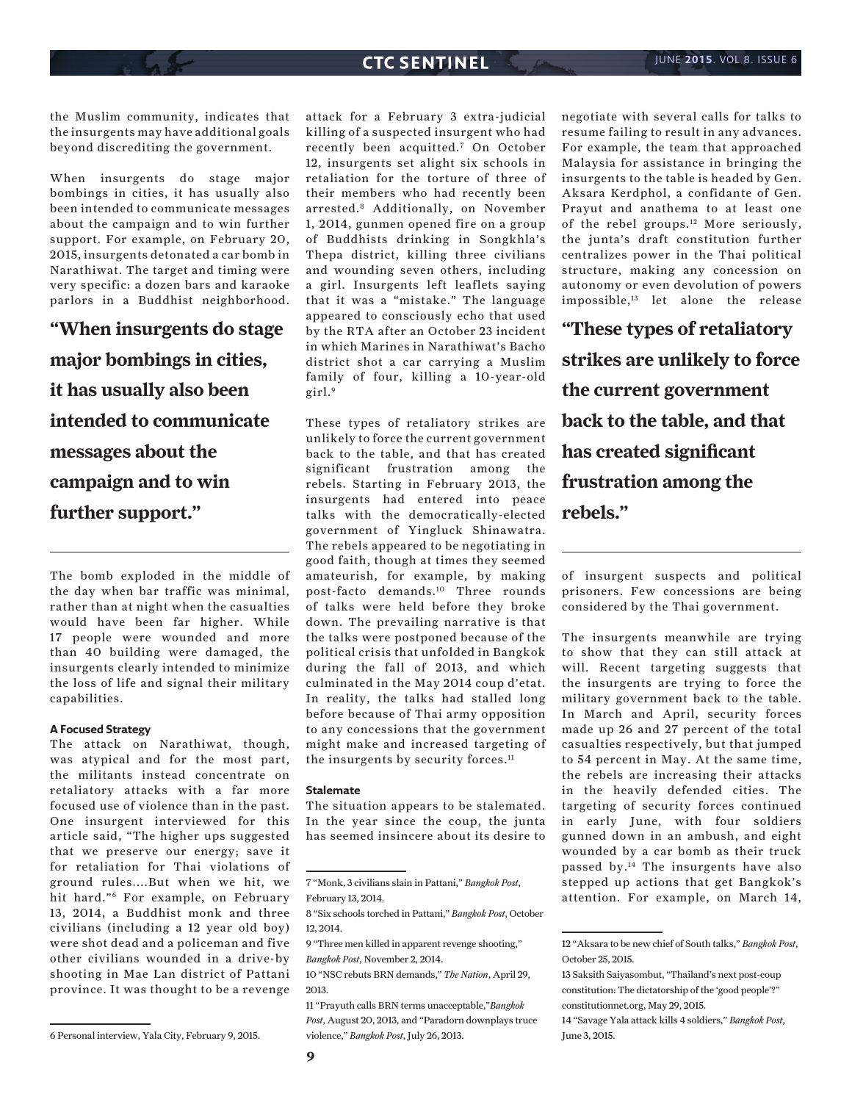the Muslim community, indicates that the insurgents may have additional goals beyond discrediting the government.

When insurgents do stage major bombings in cities, it has usually also been intended to communicate messages about the campaign and to win further support. For example, on February 20, 2015, insurgents detonated a car bomb in Narathiwat. The target and timing were very specific: a dozen bars and karaoke parlors in a Buddhist neighborhood.

**"When insurgents do stage major bombings in cities, it has usually also been intended to communicate messages about the campaign and to win further support."**

The bomb exploded in the middle of the day when bar traffic was minimal, rather than at night when the casualties would have been far higher. While 17 people were wounded and more than 40 building were damaged, the insurgents clearly intended to minimize the loss of life and signal their military capabilities.

#### **A Focused Strategy**

The attack on Narathiwat, though, was atypical and for the most part, the militants instead concentrate on retaliatory attacks with a far more focused use of violence than in the past. One insurgent interviewed for this article said, "The higher ups suggested that we preserve our energy; save it for retaliation for Thai violations of ground rules....But when we hit, we hit hard."6 For example, on February 13, 2014, a Buddhist monk and three civilians (including a 12 year old boy) were shot dead and a policeman and five other civilians wounded in a drive-by shooting in Mae Lan district of Pattani province. It was thought to be a revenge

6 Personal interview, Yala City, February 9, 2015.

attack for a February 3 extra-judicial killing of a suspected insurgent who had recently been acquitted.7 On October 12, insurgents set alight six schools in retaliation for the torture of three of their members who had recently been arrested.8 Additionally, on November 1, 2014, gunmen opened fire on a group of Buddhists drinking in Songkhla's Thepa district, killing three civilians and wounding seven others, including a girl. Insurgents left leaflets saying that it was a "mistake." The language appeared to consciously echo that used by the RTA after an October 23 incident in which Marines in Narathiwat's Bacho district shot a car carrying a Muslim family of four, killing a 10-year-old  $girl.<sup>9</sup>$ 

These types of retaliatory strikes are unlikely to force the current government back to the table, and that has created significant frustration among the rebels. Starting in February 2013, the insurgents had entered into peace talks with the democratically-elected government of Yingluck Shinawatra. The rebels appeared to be negotiating in good faith, though at times they seemed amateurish, for example, by making post-facto demands.10 Three rounds of talks were held before they broke down. The prevailing narrative is that the talks were postponed because of the political crisis that unfolded in Bangkok during the fall of 2013, and which culminated in the May 2014 coup d'etat. In reality, the talks had stalled long before because of Thai army opposition to any concessions that the government might make and increased targeting of the insurgents by security forces.<sup>11</sup>

#### **Stalemate**

The situation appears to be stalemated. In the year since the coup, the junta has seemed insincere about its desire to negotiate with several calls for talks to resume failing to result in any advances. For example, the team that approached Malaysia for assistance in bringing the insurgents to the table is headed by Gen. Aksara Kerdphol, a confidante of Gen. Prayut and anathema to at least one of the rebel groups.12 More seriously, the junta's draft constitution further centralizes power in the Thai political structure, making any concession on autonomy or even devolution of powers impossible,13 let alone the release

**"These types of retaliatory strikes are unlikely to force the current government back to the table, and that has created significant frustration among the rebels."**

of insurgent suspects and political prisoners. Few concessions are being considered by the Thai government.

The insurgents meanwhile are trying to show that they can still attack at will. Recent targeting suggests that the insurgents are trying to force the military government back to the table. In March and April, security forces made up 26 and 27 percent of the total casualties respectively, but that jumped to 54 percent in May. At the same time, the rebels are increasing their attacks in the heavily defended cities. The targeting of security forces continued in early June, with four soldiers gunned down in an ambush, and eight wounded by a car bomb as their truck passed by.14 The insurgents have also stepped up actions that get Bangkok's attention. For example, on March 14,

<sup>7 &</sup>quot;Monk, 3 civilians slain in Pattani," *Bangkok Post*, February 13, 2014.

<sup>8 &</sup>quot;Six schools torched in Pattani," *Bangkok Post*, October 12, 2014.

<sup>9 &</sup>quot;Three men killed in apparent revenge shooting," *Bangkok Post*, November 2, 2014.

<sup>10 &</sup>quot;NSC rebuts BRN demands," *The Nation*, April 29, 2013.

<sup>11 &</sup>quot;Prayuth calls BRN terms unacceptable,"*Bangkok Post*, August 20, 2013, and "Paradorn downplays truce violence," *Bangkok Post*, July 26, 2013.

<sup>12 &</sup>quot;Aksara to be new chief of South talks," *Bangkok Post*, October 25, 2015.

<sup>13</sup> Saksith Saiyasombut, "Thailand's next post-coup constitution: The dictatorship of the 'good people'?" constitutionnet.org, May 29, 2015.

<sup>14 &</sup>quot;Savage Yala attack kills 4 soldiers," *Bangkok Post*, June 3, 2015.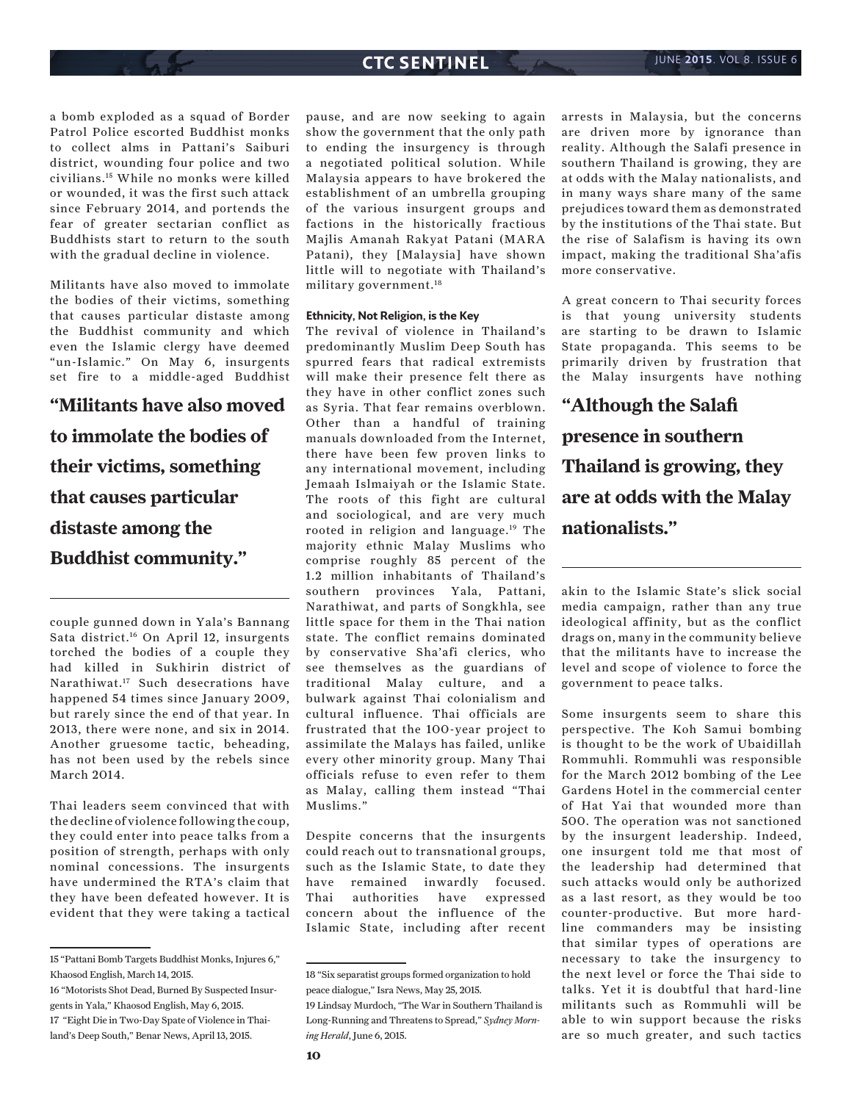a bomb exploded as a squad of Border Patrol Police escorted Buddhist monks to collect alms in Pattani's Saiburi district, wounding four police and two civilians.15 While no monks were killed or wounded, it was the first such attack since February 2014, and portends the fear of greater sectarian conflict as Buddhists start to return to the south with the gradual decline in violence.

Militants have also moved to immolate the bodies of their victims, something that causes particular distaste among the Buddhist community and which even the Islamic clergy have deemed "un-Islamic." On May 6, insurgents set fire to a middle-aged Buddhist

**"Militants have also moved to immolate the bodies of their victims, something that causes particular distaste among the Buddhist community."**

couple gunned down in Yala's Bannang Sata district.16 On April 12, insurgents torched the bodies of a couple they had killed in Sukhirin district of Narathiwat.17 Such desecrations have happened 54 times since January 2009, but rarely since the end of that year. In 2013, there were none, and six in 2014. Another gruesome tactic, beheading, has not been used by the rebels since March 2014.

Thai leaders seem convinced that with the decline of violence following the coup, they could enter into peace talks from a position of strength, perhaps with only nominal concessions. The insurgents have undermined the RTA's claim that they have been defeated however. It is evident that they were taking a tactical

pause, and are now seeking to again show the government that the only path to ending the insurgency is through a negotiated political solution. While Malaysia appears to have brokered the establishment of an umbrella grouping of the various insurgent groups and factions in the historically fractious Majlis Amanah Rakyat Patani (MARA Patani), they [Malaysia] have shown little will to negotiate with Thailand's military government.18

#### **Ethnicity, Not Religion, is the Key**

The revival of violence in Thailand's predominantly Muslim Deep South has spurred fears that radical extremists will make their presence felt there as they have in other conflict zones such as Syria. That fear remains overblown. Other than a handful of training manuals downloaded from the Internet, there have been few proven links to any international movement, including Jemaah Islmaiyah or the Islamic State. The roots of this fight are cultural and sociological, and are very much rooted in religion and language.<sup>19</sup> The majority ethnic Malay Muslims who comprise roughly 85 percent of the 1.2 million inhabitants of Thailand's southern provinces Yala, Pattani, Narathiwat, and parts of Songkhla, see little space for them in the Thai nation state. The conflict remains dominated by conservative Sha'afi clerics, who see themselves as the guardians of traditional Malay culture, and a bulwark against Thai colonialism and cultural influence. Thai officials are frustrated that the 100-year project to assimilate the Malays has failed, unlike every other minority group. Many Thai officials refuse to even refer to them as Malay, calling them instead "Thai Muslims."

Despite concerns that the insurgents could reach out to transnational groups, such as the Islamic State, to date they have remained inwardly focused. Thai authorities have expressed concern about the influence of the Islamic State, including after recent

arrests in Malaysia, but the concerns are driven more by ignorance than reality. Although the Salafi presence in southern Thailand is growing, they are at odds with the Malay nationalists, and in many ways share many of the same prejudices toward them as demonstrated by the institutions of the Thai state. But the rise of Salafism is having its own impact, making the traditional Sha'afis more conservative.

A great concern to Thai security forces is that young university students are starting to be drawn to Islamic State propaganda. This seems to be primarily driven by frustration that the Malay insurgents have nothing

**"Although the Salafi presence in southern Thailand is growing, they are at odds with the Malay nationalists."**

akin to the Islamic State's slick social media campaign, rather than any true ideological affinity, but as the conflict drags on, many in the community believe that the militants have to increase the level and scope of violence to force the government to peace talks.

Some insurgents seem to share this perspective. The Koh Samui bombing is thought to be the work of Ubaidillah Rommuhli. Rommuhli was responsible for the March 2012 bombing of the Lee Gardens Hotel in the commercial center of Hat Yai that wounded more than 500. The operation was not sanctioned by the insurgent leadership. Indeed, one insurgent told me that most of the leadership had determined that such attacks would only be authorized as a last resort, as they would be too counter-productive. But more hardline commanders may be insisting that similar types of operations are necessary to take the insurgency to the next level or force the Thai side to talks. Yet it is doubtful that hard-line militants such as Rommuhli will be able to win support because the risks are so much greater, and such tactics

<sup>15 &</sup>quot;Pattani Bomb Targets Buddhist Monks, Injures 6," Khaosod English, March 14, 2015.

<sup>16 &</sup>quot;Motorists Shot Dead, Burned By Suspected Insurgents in Yala," Khaosod English, May 6, 2015. 17 "Eight Die in Two-Day Spate of Violence in Thailand's Deep South," Benar News, April 13, 2015.

<sup>18 &</sup>quot;Six separatist groups formed organization to hold peace dialogue," Isra News, May 25, 2015.

<sup>19</sup> Lindsay Murdoch, "The War in Southern Thailand is Long-Running and Threatens to Spread," *Sydney Morning Herald*, June 6, 2015.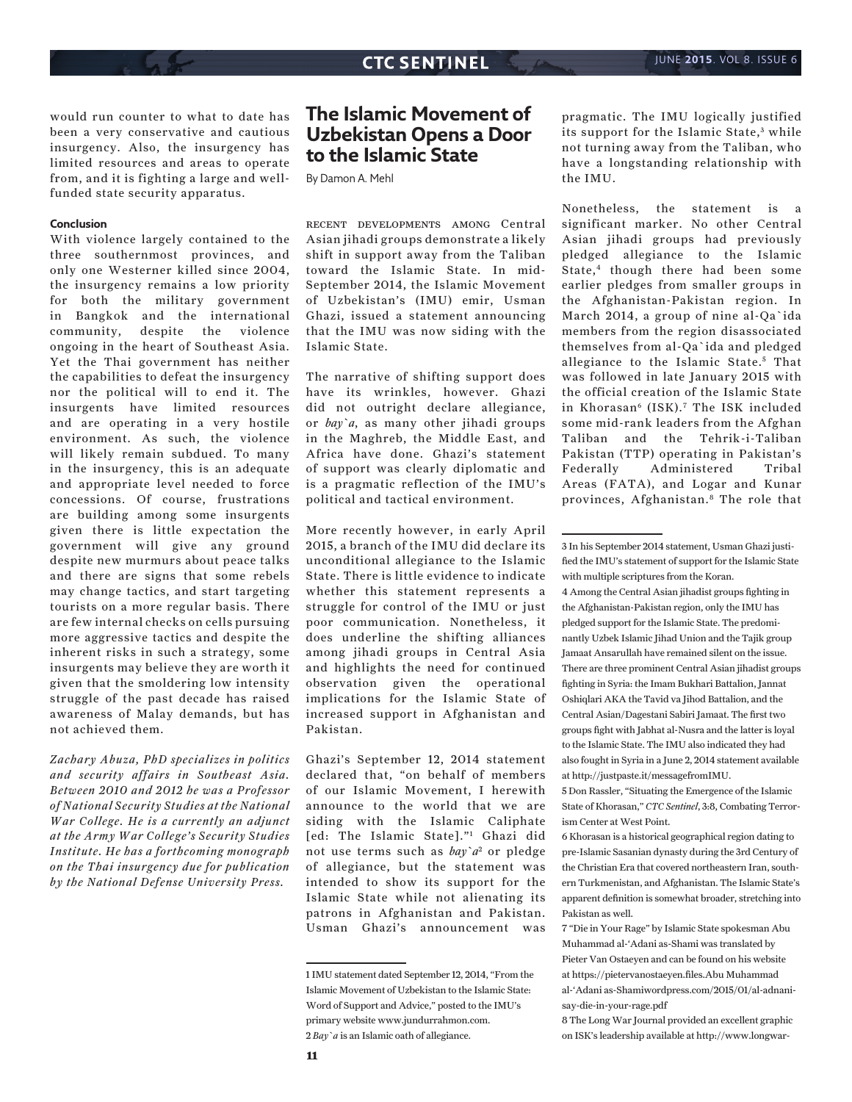would run counter to what to date has been a very conservative and cautious insurgency. Also, the insurgency has limited resources and areas to operate from, and it is fighting a large and wellfunded state security apparatus.

#### **Conclusion**

With violence largely contained to the three southernmost provinces, and only one Westerner killed since 2004, the insurgency remains a low priority for both the military government in Bangkok and the international community, despite the violence ongoing in the heart of Southeast Asia. Yet the Thai government has neither the capabilities to defeat the insurgency nor the political will to end it. The insurgents have limited resources and are operating in a very hostile environment. As such, the violence will likely remain subdued. To many in the insurgency, this is an adequate and appropriate level needed to force concessions. Of course, frustrations are building among some insurgents given there is little expectation the government will give any ground despite new murmurs about peace talks and there are signs that some rebels may change tactics, and start targeting tourists on a more regular basis. There are few internal checks on cells pursuing more aggressive tactics and despite the inherent risks in such a strategy, some insurgents may believe they are worth it given that the smoldering low intensity struggle of the past decade has raised awareness of Malay demands, but has not achieved them.

*Zachary Abuza, PhD specializes in politics and security affairs in Southeast Asia. Between 2010 and 2012 he was a Professor of National Security Studies at the National War College. He is a currently an adjunct at the Army War College's Security Studies Institute. He has a forthcoming monograph on the Thai insurgency due for publication by the National Defense University Press.*

## **The Islamic Movement of Uzbekistan Opens a Door to the Islamic State**

By Damon A. Mehl

recent developments among Central Asian jihadi groups demonstrate a likely shift in support away from the Taliban toward the Islamic State. In mid-September 2014, the Islamic Movement of Uzbekistan's (IMU) emir, Usman Ghazi, issued a statement announcing that the IMU was now siding with the Islamic State.

The narrative of shifting support does have its wrinkles, however. Ghazi did not outright declare allegiance, or *bay`a*, as many other jihadi groups in the Maghreb, the Middle East, and Africa have done. Ghazi's statement of support was clearly diplomatic and is a pragmatic reflection of the IMU's political and tactical environment.

More recently however, in early April 2015, a branch of the IMU did declare its unconditional allegiance to the Islamic State. There is little evidence to indicate whether this statement represents a struggle for control of the IMU or just poor communication. Nonetheless, it does underline the shifting alliances among jihadi groups in Central Asia and highlights the need for continued observation given the operational implications for the Islamic State of increased support in Afghanistan and Pakistan.

Ghazi's September 12, 2014 statement declared that, "on behalf of members of our Islamic Movement, I herewith announce to the world that we are siding with the Islamic Caliphate [ed: The Islamic State]."1 Ghazi did not use terms such as *bay`a*2 or pledge of allegiance, but the statement was intended to show its support for the Islamic State while not alienating its patrons in Afghanistan and Pakistan. Usman Ghazi's announcement was

pragmatic. The IMU logically justified its support for the Islamic State,<sup>3</sup> while not turning away from the Taliban, who have a longstanding relationship with the IMU.

Nonetheless, the statement is a significant marker. No other Central Asian jihadi groups had previously pledged allegiance to the Islamic State,<sup>4</sup> though there had been some earlier pledges from smaller groups in the Afghanistan-Pakistan region. In March 2014, a group of nine al-Qa`ida members from the region disassociated themselves from al-Qa`ida and pledged allegiance to the Islamic State.<sup>5</sup> That was followed in late January 2015 with the official creation of the Islamic State in Khorasan<sup>6</sup> (ISK).<sup>7</sup> The ISK included some mid-rank leaders from the Afghan Taliban and the Tehrik-i-Taliban Pakistan (TTP) operating in Pakistan's Federally Administered Tribal Areas (FATA), and Logar and Kunar provinces, Afghanistan.8 The role that

4 Among the Central Asian jihadist groups fighting in the Afghanistan-Pakistan region, only the IMU has pledged support for the Islamic State. The predominantly Uzbek Islamic Jihad Union and the Tajik group Jamaat Ansarullah have remained silent on the issue. There are three prominent Central Asian jihadist groups fighting in Syria: the Imam Bukhari Battalion, Jannat Oshiqlari AKA the Tavid va Jihod Battalion, and the Central Asian/Dagestani Sabiri Jamaat. The first two groups fight with Jabhat al-Nusra and the latter is loyal to the Islamic State. The IMU also indicated they had also fought in Syria in a June 2, 2014 statement available at http://justpaste.it/messagefromIMU.

5 Don Rassler, "Situating the Emergence of the Islamic State of Khorasan," *CTC Sentinel*, 3:8, Combating Terrorism Center at West Point.

6 Khorasan is a historical geographical region dating to pre-Islamic Sasanian dynasty during the 3rd Century of the Christian Era that covered northeastern Iran, southern Turkmenistan, and Afghanistan. The Islamic State's apparent definition is somewhat broader, stretching into Pakistan as well.

7 "Die in Your Rage" by Islamic State spokesman Abu Muhammad al-'Adani as-Shami was translated by Pieter Van Ostaeyen and can be found on his website at https://pietervanostaeyen.files.Abu Muhammad al-'Adani as-Shamiwordpress.com/2015/01/al-adnanisay-die-in-your-rage.pdf

8 The Long War Journal provided an excellent graphic on ISK's leadership available at http://www.longwar-

<sup>1</sup> IMU statement dated September 12, 2014, "From the Islamic Movement of Uzbekistan to the Islamic State: Word of Support and Advice," posted to the IMU's primary website www.jundurrahmon.com. 2 *Bay`a* is an Islamic oath of allegiance.

<sup>3</sup> In his September 2014 statement, Usman Ghazi justified the IMU's statement of support for the Islamic State with multiple scriptures from the Koran.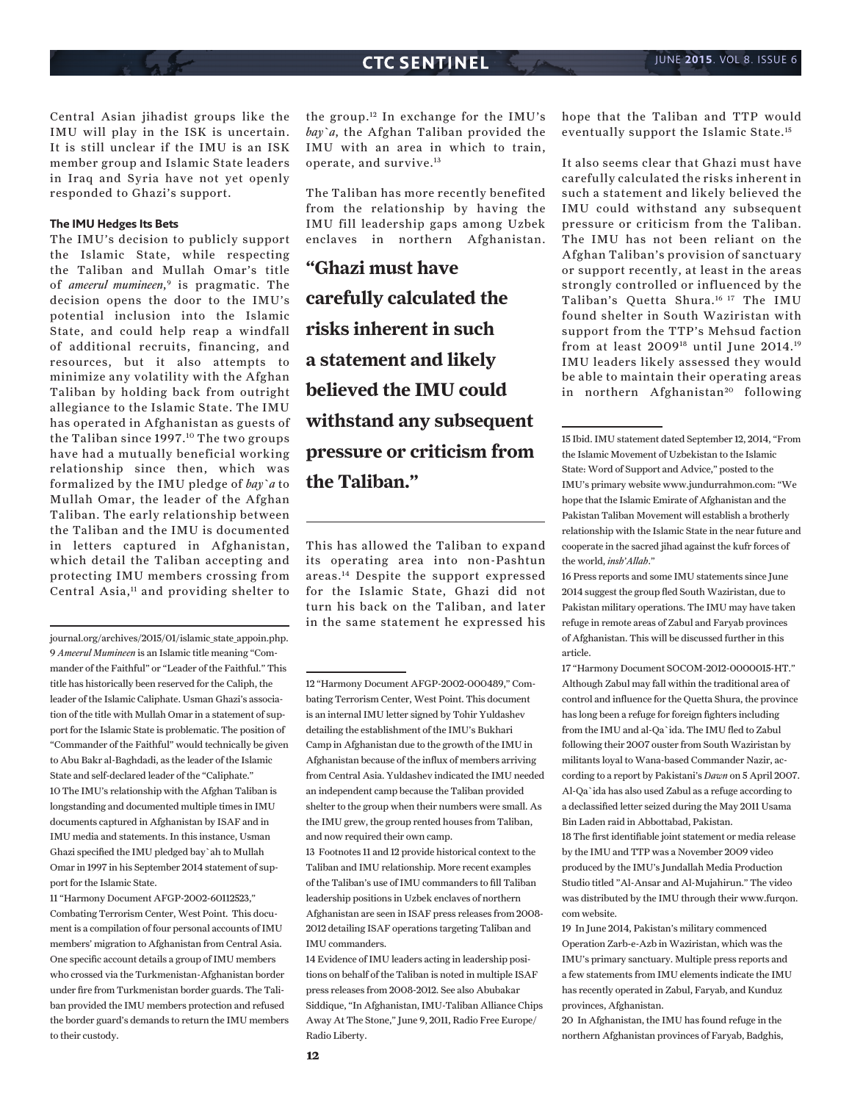Central Asian jihadist groups like the IMU will play in the ISK is uncertain. It is still unclear if the IMU is an ISK member group and Islamic State leaders in Iraq and Syria have not yet openly responded to Ghazi's support.

#### **The IMU Hedges Its Bets**

The IMU's decision to publicly support the Islamic State, while respecting the Taliban and Mullah Omar's title of *ameerul mumineen*, 9 is pragmatic. The decision opens the door to the IMU's potential inclusion into the Islamic State, and could help reap a windfall of additional recruits, financing, and resources, but it also attempts to minimize any volatility with the Afghan Taliban by holding back from outright allegiance to the Islamic State. The IMU has operated in Afghanistan as guests of the Taliban since 1997.<sup>10</sup> The two groups have had a mutually beneficial working relationship since then, which was formalized by the IMU pledge of *bay`a* to Mullah Omar, the leader of the Afghan Taliban. The early relationship between the Taliban and the IMU is documented in letters captured in Afghanistan, which detail the Taliban accepting and protecting IMU members crossing from Central Asia,<sup>11</sup> and providing shelter to

journal.org/archives/2015/01/islamic\_state\_appoin.php. 9 *Ameerul Mumineen* is an Islamic title meaning "Commander of the Faithful" or "Leader of the Faithful." This title has historically been reserved for the Caliph, the leader of the Islamic Caliphate. Usman Ghazi's association of the title with Mullah Omar in a statement of support for the Islamic State is problematic. The position of "Commander of the Faithful" would technically be given to Abu Bakr al-Baghdadi, as the leader of the Islamic State and self-declared leader of the "Caliphate." 10 The IMU's relationship with the Afghan Taliban is longstanding and documented multiple times in IMU documents captured in Afghanistan by ISAF and in IMU media and statements. In this instance, Usman Ghazi specified the IMU pledged bay`ah to Mullah Omar in 1997 in his September 2014 statement of support for the Islamic State.

11 "Harmony Document AFGP-2002-60112523," Combating Terrorism Center, West Point. This document is a compilation of four personal accounts of IMU members' migration to Afghanistan from Central Asia. One specific account details a group of IMU members who crossed via the Turkmenistan-Afghanistan border under fire from Turkmenistan border guards. The Taliban provided the IMU members protection and refused the border guard's demands to return the IMU members to their custody.

the group.12 In exchange for the IMU's *bay`a*, the Afghan Taliban provided the IMU with an area in which to train, operate, and survive.13

The Taliban has more recently benefited from the relationship by having the IMU fill leadership gaps among Uzbek enclaves in northern Afghanistan.

**"Ghazi must have carefully calculated the risks inherent in such a statement and likely believed the IMU could withstand any subsequent pressure or criticism from the Taliban."**

This has allowed the Taliban to expand its operating area into non-Pashtun areas.14 Despite the support expressed for the Islamic State, Ghazi did not turn his back on the Taliban, and later in the same statement he expressed his

13 Footnotes 11 and 12 provide historical context to the Taliban and IMU relationship. More recent examples of the Taliban's use of IMU commanders to fill Taliban leadership positions in Uzbek enclaves of northern Afghanistan are seen in ISAF press releases from 2008- 2012 detailing ISAF operations targeting Taliban and IMU commanders.

14 Evidence of IMU leaders acting in leadership positions on behalf of the Taliban is noted in multiple ISAF press releases from 2008-2012. See also Abubakar Siddique, "In Afghanistan, IMU-Taliban Alliance Chips Away At The Stone," June 9, 2011, Radio Free Europe/ Radio Liberty.

hope that the Taliban and TTP would eventually support the Islamic State.15

It also seems clear that Ghazi must have carefully calculated the risks inherent in such a statement and likely believed the IMU could withstand any subsequent pressure or criticism from the Taliban. The IMU has not been reliant on the Afghan Taliban's provision of sanctuary or support recently, at least in the areas strongly controlled or influenced by the Taliban's Quetta Shura.16 17 The IMU found shelter in South Waziristan with support from the TTP's Mehsud faction from at least 200918 until June 2014.19 IMU leaders likely assessed they would be able to maintain their operating areas in northern Afghanistan<sup>20</sup> following

16 Press reports and some IMU statements since June 2014 suggest the group fled South Waziristan, due to Pakistan military operations. The IMU may have taken refuge in remote areas of Zabul and Faryab provinces of Afghanistan. This will be discussed further in this article.

17 "Harmony Document SOCOM-2012-0000015-HT." Although Zabul may fall within the traditional area of control and influence for the Quetta Shura, the province has long been a refuge for foreign fighters including from the IMU and al-Qa`ida. The IMU fled to Zabul following their 2007 ouster from South Waziristan by militants loyal to Wana-based Commander Nazir, according to a report by Pakistani's *Dawn* on 5 April 2007. Al-Qa`ida has also used Zabul as a refuge according to a declassified letter seized during the May 2011 Usama Bin Laden raid in Abbottabad, Pakistan.

18 The first identifiable joint statement or media release by the IMU and TTP was a November 2009 video produced by the IMU's Jundallah Media Production Studio titled "Al-Ansar and Al-Mujahirun." The video was distributed by the IMU through their www.furqon. com website.

19 In June 2014, Pakistan's military commenced Operation Zarb-e-Azb in Waziristan, which was the IMU's primary sanctuary. Multiple press reports and a few statements from IMU elements indicate the IMU has recently operated in Zabul, Faryab, and Kunduz provinces, Afghanistan.

20 In Afghanistan, the IMU has found refuge in the northern Afghanistan provinces of Faryab, Badghis,

<sup>12 &</sup>quot;Harmony Document AFGP-2002-000489," Combating Terrorism Center, West Point. This document is an internal IMU letter signed by Tohir Yuldashev detailing the establishment of the IMU's Bukhari Camp in Afghanistan due to the growth of the IMU in Afghanistan because of the influx of members arriving from Central Asia. Yuldashev indicated the IMU needed an independent camp because the Taliban provided shelter to the group when their numbers were small. As the IMU grew, the group rented houses from Taliban, and now required their own camp.

<sup>15</sup> Ibid. IMU statement dated September 12, 2014, "From the Islamic Movement of Uzbekistan to the Islamic State: Word of Support and Advice," posted to the IMU's primary website www.jundurrahmon.com: "We hope that the Islamic Emirate of Afghanistan and the Pakistan Taliban Movement will establish a brotherly relationship with the Islamic State in the near future and cooperate in the sacred jihad against the kufr forces of the world, *insh'Allah*."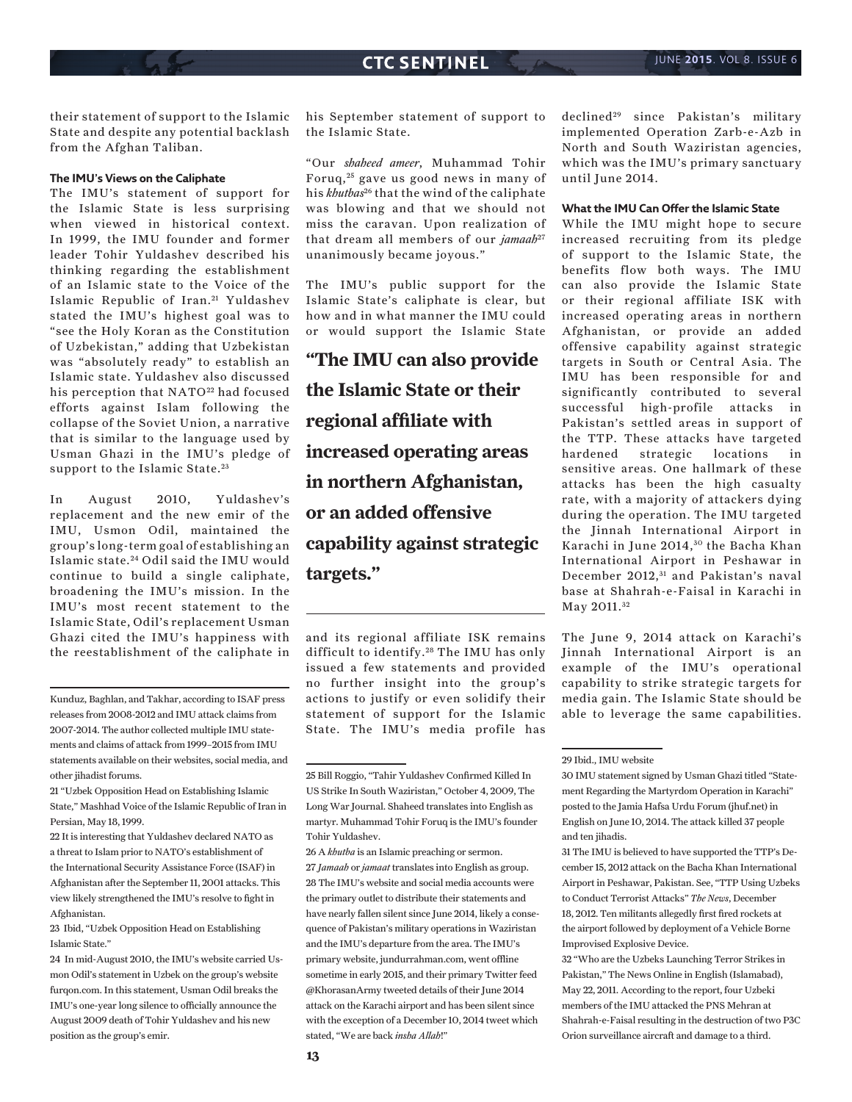their statement of support to the Islamic State and despite any potential backlash from the Afghan Taliban.

#### **The IMU's Views on the Caliphate**

The IMU's statement of support for the Islamic State is less surprising when viewed in historical context. In 1999, the IMU founder and former leader Tohir Yuldashev described his thinking regarding the establishment of an Islamic state to the Voice of the Islamic Republic of Iran.<sup>21</sup> Yuldashev stated the IMU's highest goal was to "see the Holy Koran as the Constitution of Uzbekistan," adding that Uzbekistan was "absolutely ready" to establish an Islamic state. Yuldashev also discussed his perception that NATO<sup>22</sup> had focused efforts against Islam following the collapse of the Soviet Union, a narrative that is similar to the language used by Usman Ghazi in the IMU's pledge of support to the Islamic State.<sup>23</sup>

In August 2010, Yuldashev's replacement and the new emir of the IMU, Usmon Odil, maintained the group's long-term goal of establishing an Islamic state. 24 Odil said the IMU would continue to build a single caliphate, broadening the IMU's mission. In the IMU's most recent statement to the Islamic State, Odil's replacement Usman Ghazi cited the IMU's happiness with the reestablishment of the caliphate in

Kunduz, Baghlan, and Takhar, according to ISAF press releases from 2008-2012 and IMU attack claims from 2007-2014. The author collected multiple IMU statements and claims of attack from 1999–2015 from IMU statements available on their websites, social media, and other jihadist forums.

21 "Uzbek Opposition Head on Establishing Islamic State," Mashhad Voice of the Islamic Republic of Iran in Persian, May 18, 1999.

22 It is interesting that Yuldashev declared NATO as a threat to Islam prior to NATO's establishment of the International Security Assistance Force (ISAF) in Afghanistan after the September 11, 2001 attacks. This view likely strengthened the IMU's resolve to fight in Afghanistan.

23 Ibid, "Uzbek Opposition Head on Establishing Islamic State."

24 In mid-August 2010, the IMU's website carried Usmon Odil's statement in Uzbek on the group's website furqon.com. In this statement, Usman Odil breaks the IMU's one-year long silence to officially announce the August 2009 death of Tohir Yuldashev and his new position as the group's emir.

his September statement of support to the Islamic State.

"Our *shaheed ameer*, Muhammad Tohir Foruq, 25 gave us good news in many of his *khutbas*26 that the wind of the caliphate was blowing and that we should not miss the caravan. Upon realization of that dream all members of our *jamaah*<sup>27</sup> unanimously became joyous."

The IMU's public support for the Islamic State's caliphate is clear, but how and in what manner the IMU could or would support the Islamic State

**"The IMU can also provide the Islamic State or their regional affiliate with increased operating areas in northern Afghanistan, or an added offensive capability against strategic targets."**

and its regional affiliate ISK remains difficult to identify. 28 The IMU has only issued a few statements and provided no further insight into the group's actions to justify or even solidify their statement of support for the Islamic State. The IMU's media profile has declined<sup>29</sup> since Pakistan's military implemented Operation Zarb-e-Azb in North and South Waziristan agencies, which was the IMU's primary sanctuary until June 2014.

#### **What the IMU Can Offer the Islamic State**

While the IMU might hope to secure increased recruiting from its pledge of support to the Islamic State, the benefits flow both ways. The IMU can also provide the Islamic State or their regional affiliate ISK with increased operating areas in northern Afghanistan, or provide an added offensive capability against strategic targets in South or Central Asia. The IMU has been responsible for and significantly contributed to several successful high-profile attacks in Pakistan's settled areas in support of the TTP. These attacks have targeted hardened strategic locations in sensitive areas. One hallmark of these attacks has been the high casualty rate, with a majority of attackers dying during the operation. The IMU targeted the Jinnah International Airport in Karachi in June 2014, 30 the Bacha Khan International Airport in Peshawar in December 2012,<sup>31</sup> and Pakistan's naval base at Shahrah-e-Faisal in Karachi in May 2011.<sup>32</sup>

The June 9, 2014 attack on Karachi's Jinnah International Airport is an example of the IMU's operational capability to strike strategic targets for media gain. The Islamic State should be able to leverage the same capabilities.

#### 29 Ibid., IMU website

31 The IMU is believed to have supported the TTP's December 15, 2012 attack on the Bacha Khan International Airport in Peshawar, Pakistan. See, "TTP Using Uzbeks to Conduct Terrorist Attacks" *The News*, December 18, 2012. Ten militants allegedly first fired rockets at the airport followed by deployment of a Vehicle Borne Improvised Explosive Device.

32 "Who are the Uzbeks Launching Terror Strikes in Pakistan," The News Online in English (Islamabad), May 22, 2011. According to the report, four Uzbeki members of the IMU attacked the PNS Mehran at Shahrah-e-Faisal resulting in the destruction of two P3C Orion surveillance aircraft and damage to a third.

<sup>25</sup> Bill Roggio, "Tahir Yuldashev Confirmed Killed In US Strike In South Waziristan," October 4, 2009, The Long War Journal. Shaheed translates into English as martyr. Muhammad Tohir Foruq is the IMU's founder Tohir Yuldashev.

<sup>26</sup> A *khutba* is an Islamic preaching or sermon. 27 *Jamaah* or *jamaat* translates into English as group. 28 The IMU's website and social media accounts were the primary outlet to distribute their statements and have nearly fallen silent since June 2014, likely a consequence of Pakistan's military operations in Waziristan and the IMU's departure from the area. The IMU's primary website, jundurrahman.com, went offline sometime in early 2015, and their primary Twitter feed @KhorasanArmy tweeted details of their June 2014 attack on the Karachi airport and has been silent since with the exception of a December 10, 2014 tweet which stated, "We are back *insha Allah*!"

<sup>30</sup> IMU statement signed by Usman Ghazi titled "Statement Regarding the Martyrdom Operation in Karachi" posted to the Jamia Hafsa Urdu Forum (jhuf.net) in English on June 10, 2014. The attack killed 37 people and ten jihadis.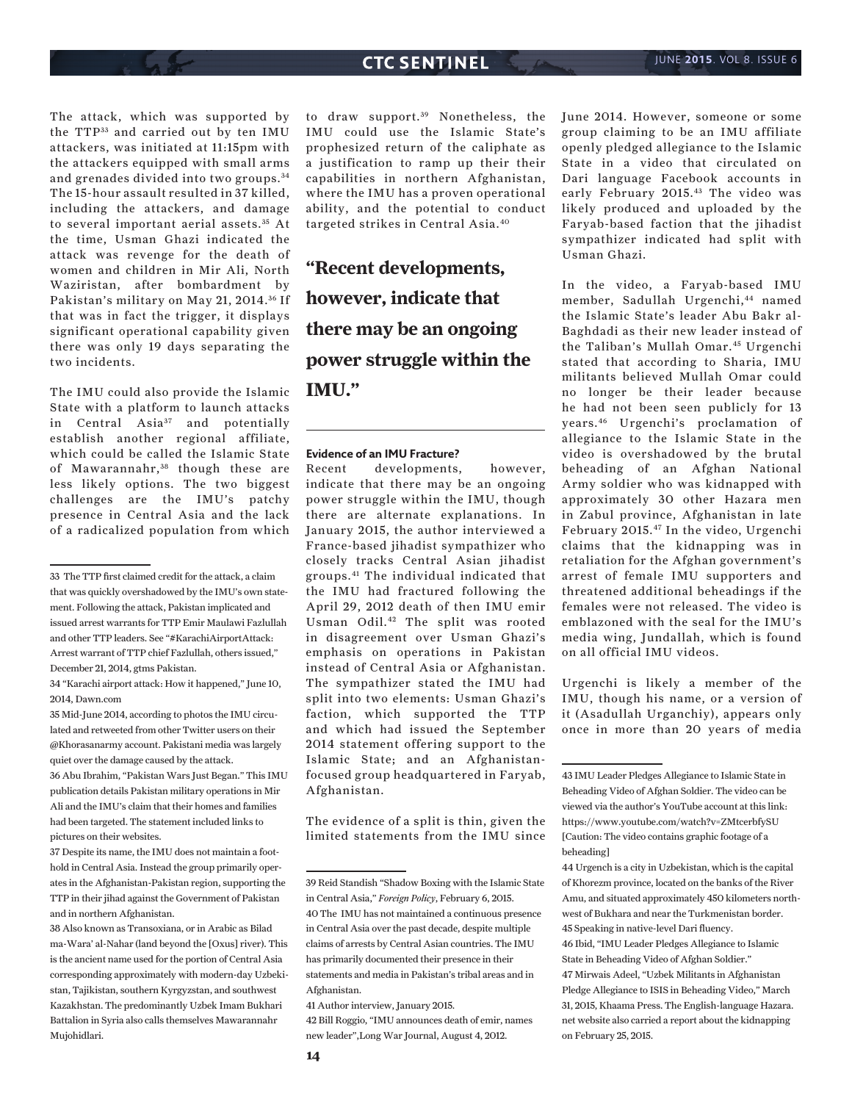The attack, which was supported by the TTP33 and carried out by ten IMU attackers, was initiated at 11:15pm with the attackers equipped with small arms and grenades divided into two groups. <sup>34</sup> The 15-hour assault resulted in 37 killed, including the attackers, and damage to several important aerial assets. 35 At the time, Usman Ghazi indicated the attack was revenge for the death of women and children in Mir Ali, North Waziristan, after bombardment by Pakistan's military on May 21, 2014. 36 If that was in fact the trigger, it displays significant operational capability given there was only 19 days separating the two incidents.

The IMU could also provide the Islamic State with a platform to launch attacks in Central Asia<sup>37</sup> and potentially establish another regional affiliate, which could be called the Islamic State of Mawarannahr,<sup>38</sup> though these are less likely options. The two biggest challenges are the IMU's patchy presence in Central Asia and the lack of a radicalized population from which

35 Mid-June 2014, according to photos the IMU circulated and retweeted from other Twitter users on their @Khorasanarmy account. Pakistani media was largely quiet over the damage caused by the attack.

36 Abu Ibrahim, "Pakistan Wars Just Began." This IMU publication details Pakistan military operations in Mir Ali and the IMU's claim that their homes and families had been targeted. The statement included links to pictures on their websites.

37 Despite its name, the IMU does not maintain a foothold in Central Asia. Instead the group primarily operates in the Afghanistan-Pakistan region, supporting the TTP in their jihad against the Government of Pakistan and in northern Afghanistan.

38 Also known as Transoxiana, or in Arabic as Bilad ma-Wara' al-Nahar (land beyond the [Oxus] river). This is the ancient name used for the portion of Central Asia corresponding approximately with modern-day Uzbekistan, Tajikistan, southern Kyrgyzstan, and southwest Kazakhstan. The predominantly Uzbek Imam Bukhari Battalion in Syria also calls themselves Mawarannahr Mujohidlari.

to draw support.<sup>39</sup> Nonetheless, the IMU could use the Islamic State's prophesized return of the caliphate as a justification to ramp up their their capabilities in northern Afghanistan, where the IMU has a proven operational ability, and the potential to conduct targeted strikes in Central Asia.40

**"Recent developments, however, indicate that there may be an ongoing power struggle within the IMU."**

#### **Evidence of an IMU Fracture?**

Recent developments, however, indicate that there may be an ongoing power struggle within the IMU, though there are alternate explanations. In January 2015, the author interviewed a France-based jihadist sympathizer who closely tracks Central Asian jihadist groups.41 The individual indicated that the IMU had fractured following the April 29, 2012 death of then IMU emir Usman Odil.42 The split was rooted in disagreement over Usman Ghazi's emphasis on operations in Pakistan instead of Central Asia or Afghanistan. The sympathizer stated the IMU had split into two elements: Usman Ghazi's faction, which supported the TTP and which had issued the September 2014 statement offering support to the Islamic State; and an Afghanistanfocused group headquartered in Faryab, Afghanistan.

The evidence of a split is thin, given the limited statements from the IMU since

41 Author interview, January 2015.

42 Bill Roggio, "IMU announces death of emir, names new leader",Long War Journal, August 4, 2012.

June 2014. However, someone or some group claiming to be an IMU affiliate openly pledged allegiance to the Islamic State in a video that circulated on Dari language Facebook accounts in early February 2015.43 The video was likely produced and uploaded by the Faryab-based faction that the jihadist sympathizer indicated had split with Usman Ghazi.

In the video, a Faryab-based IMU member, Sadullah Urgenchi,<sup>44</sup> named the Islamic State's leader Abu Bakr al-Baghdadi as their new leader instead of the Taliban's Mullah Omar.<sup>45</sup> Urgenchi stated that according to Sharia, IMU militants believed Mullah Omar could no longer be their leader because he had not been seen publicly for 13 years.46 Urgenchi's proclamation of allegiance to the Islamic State in the video is overshadowed by the brutal beheading of an Afghan National Army soldier who was kidnapped with approximately 30 other Hazara men in Zabul province, Afghanistan in late February 2015.47 In the video, Urgenchi claims that the kidnapping was in retaliation for the Afghan government's arrest of female IMU supporters and threatened additional beheadings if the females were not released. The video is emblazoned with the seal for the IMU's media wing, Jundallah, which is found on all official IMU videos.

Urgenchi is likely a member of the IMU, though his name, or a version of it (Asadullah Urganchiy), appears only once in more than 20 years of media

<sup>33</sup> The TTP first claimed credit for the attack, a claim that was quickly overshadowed by the IMU's own statement. Following the attack, Pakistan implicated and issued arrest warrants for TTP Emir Maulawi Fazlullah and other TTP leaders. See "#KarachiAirportAttack: Arrest warrant of TTP chief Fazlullah, others issued," December 21, 2014, gtms Pakistan.

<sup>34 &</sup>quot;Karachi airport attack: How it happened," June 10, 2014, Dawn.com

<sup>39</sup> Reid Standish "Shadow Boxing with the Islamic State in Central Asia," *Foreign Policy*, February 6, 2015. 40 The IMU has not maintained a continuous presence in Central Asia over the past decade, despite multiple claims of arrests by Central Asian countries. The IMU has primarily documented their presence in their statements and media in Pakistan's tribal areas and in Afghanistan.

<sup>43</sup> IMU Leader Pledges Allegiance to Islamic State in Beheading Video of Afghan Soldier. The video can be viewed via the author's YouTube account at this link: https://www.youtube.com/watch?v=ZMtcerbfySU [Caution: The video contains graphic footage of a beheading]

<sup>44</sup> Urgench is a city in Uzbekistan, which is the capital of Khorezm province, located on the banks of the River Amu, and situated approximately 450 kilometers northwest of Bukhara and near the Turkmenistan border. 45 Speaking in native-level Dari fluency.

<sup>46</sup> Ibid, "IMU Leader Pledges Allegiance to Islamic State in Beheading Video of Afghan Soldier." 47 Mirwais Adeel, "Uzbek Militants in Afghanistan Pledge Allegiance to ISIS in Beheading Video," March 31, 2015, Khaama Press. The English-language Hazara. net website also carried a report about the kidnapping on February 25, 2015.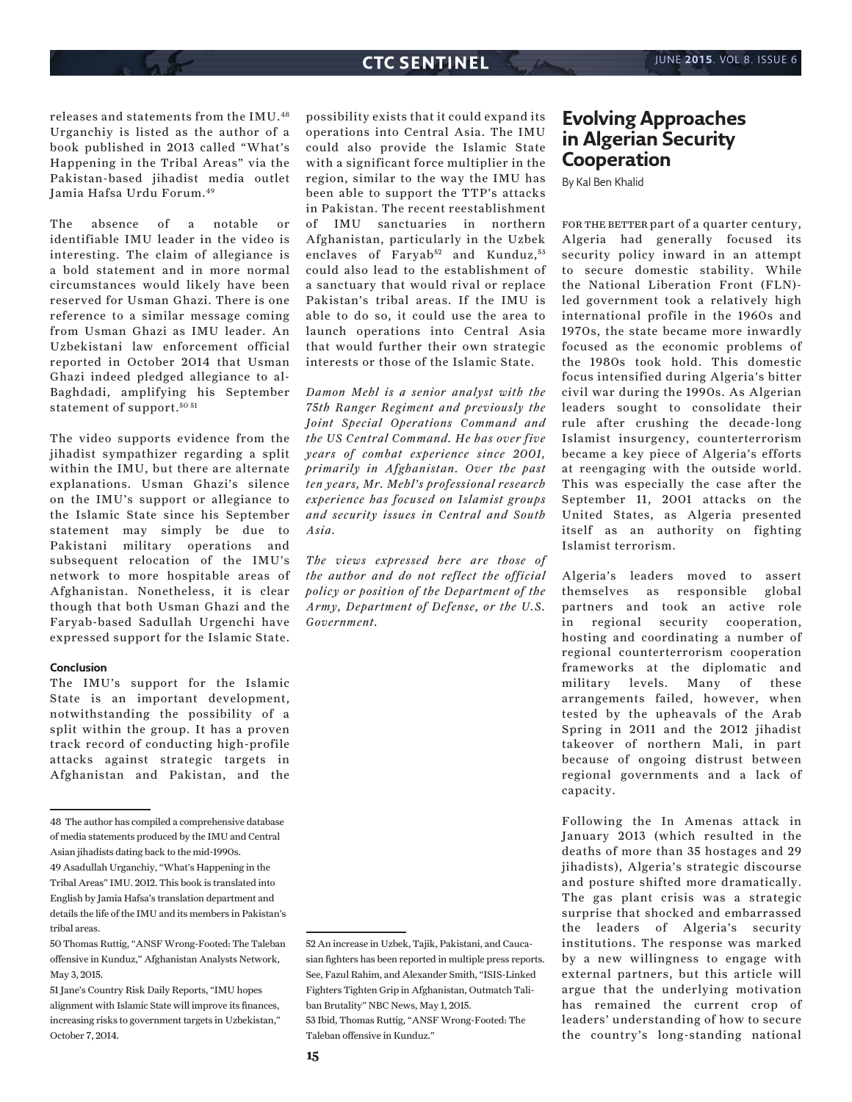releases and statements from the IMU.48 Urganchiy is listed as the author of a book published in 2013 called "What's Happening in the Tribal Areas" via the Pakistan-based jihadist media outlet Jamia Hafsa Urdu Forum.49

The absence of a notable or identifiable IMU leader in the video is interesting. The claim of allegiance is a bold statement and in more normal circumstances would likely have been reserved for Usman Ghazi. There is one reference to a similar message coming from Usman Ghazi as IMU leader. An Uzbekistani law enforcement official reported in October 2014 that Usman Ghazi indeed pledged allegiance to al-Baghdadi, amplifying his September statement of support.<sup>50 51</sup>

The video supports evidence from the jihadist sympathizer regarding a split within the IMU, but there are alternate explanations. Usman Ghazi's silence on the IMU's support or allegiance to the Islamic State since his September statement may simply be due to Pakistani military operations and subsequent relocation of the IMU's network to more hospitable areas of Afghanistan. Nonetheless, it is clear though that both Usman Ghazi and the Faryab-based Sadullah Urgenchi have expressed support for the Islamic State.

#### **Conclusion**

The IMU's support for the Islamic State is an important development, notwithstanding the possibility of a split within the group. It has a proven track record of conducting high-profile attacks against strategic targets in Afghanistan and Pakistan, and the

48 The author has compiled a comprehensive database of media statements produced by the IMU and Central Asian jihadists dating back to the mid-1990s.

possibility exists that it could expand its operations into Central Asia. The IMU could also provide the Islamic State with a significant force multiplier in the region, similar to the way the IMU has been able to support the TTP's attacks in Pakistan. The recent reestablishment of IMU sanctuaries in northern Afghanistan, particularly in the Uzbek enclaves of Faryab<sup>52</sup> and Kunduz,  $53$ could also lead to the establishment of a sanctuary that would rival or replace Pakistan's tribal areas. If the IMU is able to do so, it could use the area to launch operations into Central Asia that would further their own strategic interests or those of the Islamic State.

*Damon Mehl is a senior analyst with the 75th Ranger Regiment and previously the Joint Special Operations Command and the US Central Command. He has over five years of combat experience since 2001, primarily in Afghanistan. Over the past ten years, Mr. Mehl's professional research experience has focused on Islamist groups and security issues in Central and South Asia.* 

*The views expressed here are those of the author and do not reflect the official policy or position of the Department of the Army, Department of Defense, or the U.S. Government.*

Taleban offensive in Kunduz."

## **Evolving Approaches in Algerian Security Cooperation**

By Kal Ben Khalid

FOR THE BETTER part of a quarter century, Algeria had generally focused its security policy inward in an attempt to secure domestic stability. While the National Liberation Front (FLN) led government took a relatively high international profile in the 1960s and 1970s, the state became more inwardly focused as the economic problems of the 1980s took hold. This domestic focus intensified during Algeria's bitter civil war during the 1990s. As Algerian leaders sought to consolidate their rule after crushing the decade-long Islamist insurgency, counterterrorism became a key piece of Algeria's efforts at reengaging with the outside world. This was especially the case after the September 11, 2001 attacks on the United States, as Algeria presented itself as an authority on fighting Islamist terrorism.

Algeria's leaders moved to assert themselves as responsible global partners and took an active role in regional security cooperation, hosting and coordinating a number of regional counterterrorism cooperation frameworks at the diplomatic and military levels. Many of these arrangements failed, however, when tested by the upheavals of the Arab Spring in 2011 and the 2012 jihadist takeover of northern Mali, in part because of ongoing distrust between regional governments and a lack of capacity.

Following the In Amenas attack in January 2013 (which resulted in the deaths of more than 35 hostages and 29 jihadists), Algeria's strategic discourse and posture shifted more dramatically. The gas plant crisis was a strategic surprise that shocked and embarrassed the leaders of Algeria's security institutions. The response was marked by a new willingness to engage with external partners, but this article will argue that the underlying motivation has remained the current crop of leaders' understanding of how to secure the country's long-standing national

<sup>49</sup> Asadullah Urganchiy, "What's Happening in the Tribal Areas" IMU. 2012. This book is translated into English by Jamia Hafsa's translation department and details the life of the IMU and its members in Pakistan's tribal areas.

<sup>50</sup> Thomas Ruttig, "ANSF Wrong-Footed: The Taleban offensive in Kunduz," Afghanistan Analysts Network, May 3, 2015.

<sup>51</sup> Jane's Country Risk Daily Reports, "IMU hopes alignment with Islamic State will improve its finances, increasing risks to government targets in Uzbekistan," October 7, 2014.

<sup>52</sup> An increase in Uzbek, Tajik, Pakistani, and Caucasian fighters has been reported in multiple press reports. See, Fazul Rahim, and Alexander Smith, "ISIS-Linked Fighters Tighten Grip in Afghanistan, Outmatch Taliban Brutality" NBC News, May 1, 2015. 53 Ibid, Thomas Ruttig, "ANSF Wrong-Footed: The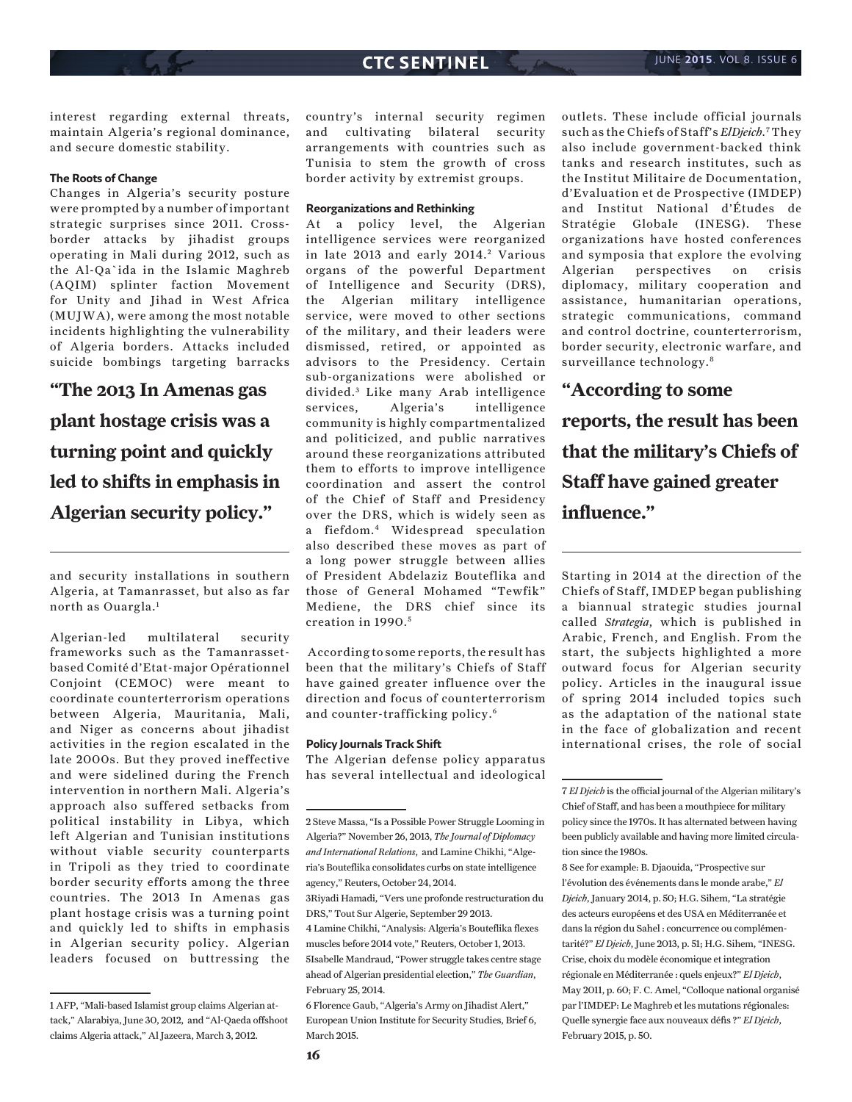interest regarding external threats, maintain Algeria's regional dominance, and secure domestic stability.

#### **The Roots of Change**

Changes in Algeria's security posture were prompted by a number of important strategic surprises since 2011. Crossborder attacks by jihadist groups operating in Mali during 2012, such as the Al-Qa`ida in the Islamic Maghreb (AQIM) splinter faction Movement for Unity and Jihad in West Africa (MUJWA), were among the most notable incidents highlighting the vulnerability of Algeria borders. Attacks included suicide bombings targeting barracks

**"The 2013 In Amenas gas plant hostage crisis was a turning point and quickly led to shifts in emphasis in Algerian security policy."**

and security installations in southern Algeria, at Tamanrasset, but also as far north as Ouargla.1

Algerian-led multilateral security frameworks such as the Tamanrassetbased Comité d'Etat-major Opérationnel Conjoint (CEMOC) were meant to coordinate counterterrorism operations between Algeria, Mauritania, Mali, and Niger as concerns about jihadist activities in the region escalated in the late 2000s. But they proved ineffective and were sidelined during the French intervention in northern Mali. Algeria's approach also suffered setbacks from political instability in Libya, which left Algerian and Tunisian institutions without viable security counterparts in Tripoli as they tried to coordinate border security efforts among the three countries. The 2013 In Amenas gas plant hostage crisis was a turning point and quickly led to shifts in emphasis in Algerian security policy. Algerian leaders focused on buttressing the country's internal security regimen and cultivating bilateral security arrangements with countries such as Tunisia to stem the growth of cross border activity by extremist groups.

#### **Reorganizations and Rethinking**

At a policy level, the Algerian intelligence services were reorganized in late 2013 and early 2014.<sup>2</sup> Various organs of the powerful Department of Intelligence and Security (DRS), the Algerian military intelligence service, were moved to other sections of the military, and their leaders were dismissed, retired, or appointed as advisors to the Presidency. Certain sub-organizations were abolished or divided.<sup>3</sup> Like many Arab intelligence services, Algeria's intelligence community is highly compartmentalized and politicized, and public narratives around these reorganizations attributed them to efforts to improve intelligence coordination and assert the control of the Chief of Staff and Presidency over the DRS, which is widely seen as a fiefdom.4 Widespread speculation also described these moves as part of a long power struggle between allies of President Abdelaziz Bouteflika and those of General Mohamed "Tewfik" Mediene, the DRS chief since its creation in 1990. <sup>5</sup>

 According to some reports, the result has been that the military's Chiefs of Staff have gained greater influence over the direction and focus of counterterrorism and counter-trafficking policy.6

#### **Policy Journals Track Shift**

The Algerian defense policy apparatus has several intellectual and ideological

3Riyadi Hamadi, "Vers une profonde restructuration du DRS," Tout Sur Algerie, September 29 2013.

outlets. These include official journals such as the Chiefs of Staff's *El Djeich*.7 They also include government-backed think tanks and research institutes, such as the Institut Militaire de Documentation, d'Evaluation et de Prospective (IMDEP) and Institut National d'Études de Stratégie Globale (INESG). These organizations have hosted conferences and symposia that explore the evolving Algerian perspectives on crisis diplomacy, military cooperation and assistance, humanitarian operations, strategic communications, command and control doctrine, counterterrorism, border security, electronic warfare, and surveillance technology.<sup>8</sup>

## **"According to some**

**reports, the result has been that the military's Chiefs of Staff have gained greater influence."**

Starting in 2014 at the direction of the Chiefs of Staff, IMDEP began publishing a biannual strategic studies journal called *Strategia*, which is published in Arabic, French, and English. From the start, the subjects highlighted a more outward focus for Algerian security policy. Articles in the inaugural issue of spring 2014 included topics such as the adaptation of the national state in the face of globalization and recent international crises, the role of social

<sup>1</sup> AFP, "Mali-based Islamist group claims Algerian attack," Alarabiya, June 30, 2012, and "Al-Qaeda offshoot claims Algeria attack," Al Jazeera, March 3, 2012.

<sup>2</sup> Steve Massa, "Is a Possible Power Struggle Looming in Algeria?" November 26, 2013, *The Journal of Diplomacy and International Relations*, and Lamine Chikhi, "Algeria's Bouteflika consolidates curbs on state intelligence agency," Reuters, October 24, 2014.

<sup>4</sup> Lamine Chikhi, "Analysis: Algeria's Bouteflika flexes muscles before 2014 vote," Reuters, October 1, 2013. 5Isabelle Mandraud, "Power struggle takes centre stage ahead of Algerian presidential election," *The Guardian*, February 25, 2014.

<sup>6</sup> Florence Gaub, "Algeria's Army on Jihadist Alert," European Union Institute for Security Studies, Brief 6, March 2015.

<sup>7</sup> *El Djeich* is the official journal of the Algerian military's Chief of Staff, and has been a mouthpiece for military policy since the 1970s. It has alternated between having been publicly available and having more limited circulation since the 1980s.

<sup>8</sup> See for example: B. Djaouida, "Prospective sur l'évolution des événements dans le monde arabe," *El Djeich*, January 2014, p. 50; H.G. Sihem, "La stratégie des acteurs européens et des USA en Méditerranée et dans la région du Sahel : concurrence ou complémentarité?" *El Djeich*, June 2013, p. 51; H.G. Sihem, "INESG. Crise, choix du modèle économique et integration régionale en Méditerranée : quels enjeux?" *El Djeich*, May 2011, p. 60; F. C. Amel, "Colloque national organisé par l'IMDEP: Le Maghreb et les mutations régionales: Quelle synergie face aux nouveaux défis ?" *El Djeich*, February 2015, p. 50.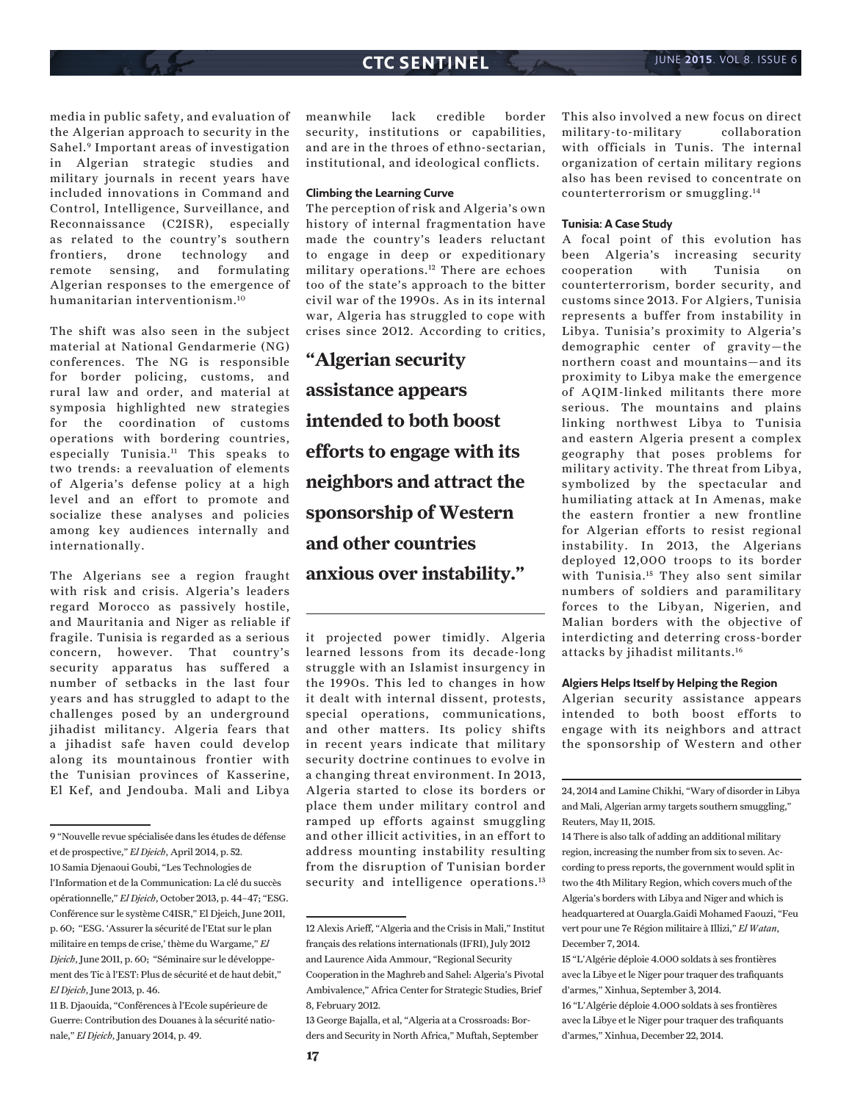media in public safety, and evaluation of the Algerian approach to security in the Sahel.9 Important areas of investigation in Algerian strategic studies and military journals in recent years have included innovations in Command and Control, Intelligence, Surveillance, and Reconnaissance (C2ISR), especially as related to the country's southern frontiers, drone technology and remote sensing, and formulating Algerian responses to the emergence of humanitarian interventionism.10

The shift was also seen in the subject material at National Gendarmerie (NG) conferences. The NG is responsible for border policing, customs, and rural law and order, and material at symposia highlighted new strategies for the coordination of customs operations with bordering countries, especially Tunisia.11 This speaks to two trends: a reevaluation of elements of Algeria's defense policy at a high level and an effort to promote and socialize these analyses and policies among key audiences internally and internationally.

The Algerians see a region fraught with risk and crisis. Algeria's leaders regard Morocco as passively hostile, and Mauritania and Niger as reliable if fragile. Tunisia is regarded as a serious concern, however. That country's security apparatus has suffered a number of setbacks in the last four years and has struggled to adapt to the challenges posed by an underground jihadist militancy. Algeria fears that a jihadist safe haven could develop along its mountainous frontier with the Tunisian provinces of Kasserine, El Kef, and Jendouba. Mali and Libya

11 B. Djaouida, "Conférences à l'Ecole supérieure de Guerre: Contribution des Douanes à la sécurité nationale," *El Djeich*, January 2014, p. 49.

meanwhile lack credible border security, institutions or capabilities, and are in the throes of ethno-sectarian, institutional, and ideological conflicts.

#### **Climbing the Learning Curve**

The perception of risk and Algeria's own history of internal fragmentation have made the country's leaders reluctant to engage in deep or expeditionary military operations.12 There are echoes too of the state's approach to the bitter civil war of the 1990s. As in its internal war, Algeria has struggled to cope with crises since 2012. According to critics,

**"Algerian security assistance appears intended to both boost efforts to engage with its neighbors and attract the sponsorship of Western and other countries anxious over instability."**

it projected power timidly. Algeria learned lessons from its decade-long struggle with an Islamist insurgency in the 1990s. This led to changes in how it dealt with internal dissent, protests, special operations, communications, and other matters. Its policy shifts in recent years indicate that military security doctrine continues to evolve in a changing threat environment. In 2013, Algeria started to close its borders or place them under military control and ramped up efforts against smuggling and other illicit activities, in an effort to address mounting instability resulting from the disruption of Tunisian border security and intelligence operations.<sup>13</sup>

13 George Bajalla, et al, "Algeria at a Crossroads: Borders and Security in North Africa," Muftah, September This also involved a new focus on direct military-to-military collaboration with officials in Tunis. The internal organization of certain military regions also has been revised to concentrate on counterterrorism or smuggling.14

#### **Tunisia: A Case Study**

A focal point of this evolution has been Algeria's increasing security cooperation with Tunisia on counterterrorism, border security, and customs since 2013. For Algiers, Tunisia represents a buffer from instability in Libya. Tunisia's proximity to Algeria's demographic center of gravity—the northern coast and mountains—and its proximity to Libya make the emergence of AQIM-linked militants there more serious. The mountains and plains linking northwest Libya to Tunisia and eastern Algeria present a complex geography that poses problems for military activity. The threat from Libya, symbolized by the spectacular and humiliating attack at In Amenas, make the eastern frontier a new frontline for Algerian efforts to resist regional instability. In 2013, the Algerians deployed 12,000 troops to its border with Tunisia.15 They also sent similar numbers of soldiers and paramilitary forces to the Libyan, Nigerien, and Malian borders with the objective of interdicting and deterring cross-border attacks by jihadist militants.16

#### **Algiers Helps Itself by Helping the Region**

Algerian security assistance appears intended to both boost efforts to engage with its neighbors and attract the sponsorship of Western and other

24, 2014 and Lamine Chikhi, "Wary of disorder in Libya and Mali, Algerian army targets southern smuggling," Reuters, May 11, 2015.

<sup>9 &</sup>quot;Nouvelle revue spécialisée dans les études de défense et de prospective," *El Djeich*, April 2014, p. 52. 10 Samia Djenaoui Goubi, "Les Technologies de

l'Information et de la Communication: La clé du succès opérationnelle," *El Djeich*, October 2013, p. 44–47; "ESG. Conférence sur le système C4ISR," El Djeich, June 2011, p. 60; "ESG. 'Assurer la sécurité de l'Etat sur le plan militaire en temps de crise,' thème du Wargame," *El Djeich*, June 2011, p. 60; "Séminaire sur le développement des Tic à l'EST: Plus de sécurité et de haut debit," *El Djeich*, June 2013, p. 46.

<sup>12</sup> Alexis Arieff, "Algeria and the Crisis in Mali," Institut français des relations internationals (IFRI), July 2012 and Laurence Aida Ammour, "Regional Security Cooperation in the Maghreb and Sahel: Algeria's Pivotal Ambivalence," Africa Center for Strategic Studies, Brief 8, February 2012.

<sup>14</sup> There is also talk of adding an additional military region, increasing the number from six to seven. According to press reports, the government would split in two the 4th Military Region, which covers much of the Algeria's borders with Libya and Niger and which is headquartered at Ouargla.Gaidi Mohamed Faouzi, "Feu vert pour une 7e Région militaire à Illizi," *El Watan*, December 7, 2014.

<sup>15 &</sup>quot;L'Algérie déploie 4.000 soldats à ses frontières avec la Libye et le Niger pour traquer des trafiquants d'armes," Xinhua, September 3, 2014.

<sup>16 &</sup>quot;L'Algérie déploie 4.000 soldats à ses frontières avec la Libye et le Niger pour traquer des trafiquants d'armes," Xinhua, December 22, 2014.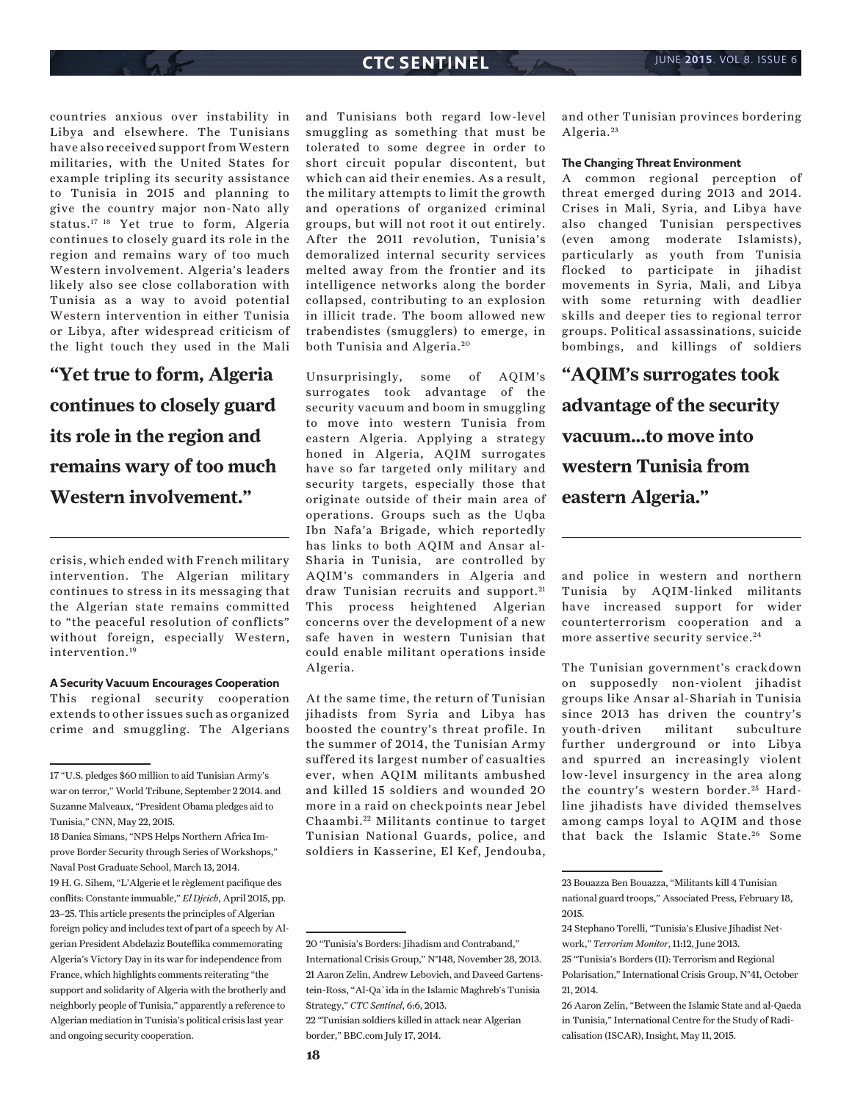countries anxious over instability in Libya and elsewhere. The Tunisians have also received support from Western militaries, with the United States for example tripling its security assistance to Tunisia in 2015 and planning to give the country major non-Nato ally status.17 18 Yet true to form, Algeria continues to closely guard its role in the region and remains wary of too much Western involvement. Algeria's leaders likely also see close collaboration with Tunisia as a way to avoid potential Western intervention in either Tunisia or Libya, after widespread criticism of the light touch they used in the Mali

**"Yet true to form, Algeria continues to closely guard its role in the region and remains wary of too much Western involvement."**

crisis, which ended with French military intervention. The Algerian military continues to stress in its messaging that the Algerian state remains committed to "the peaceful resolution of conflicts" without foreign, especially Western, intervention.<sup>19</sup>

## **A Security Vacuum Encourages Cooperation**

This regional security cooperation extends to other issues such as organized crime and smuggling. The Algerians

and Tunisians both regard low-level smuggling as something that must be tolerated to some degree in order to short circuit popular discontent, but which can aid their enemies. As a result, the military attempts to limit the growth and operations of organized criminal groups, but will not root it out entirely. After the 2011 revolution, Tunisia's demoralized internal security services melted away from the frontier and its intelligence networks along the border collapsed, contributing to an explosion in illicit trade. The boom allowed new trabendistes (smugglers) to emerge, in both Tunisia and Algeria. <sup>20</sup>

Unsurprisingly, some of AQIM's surrogates took advantage of the security vacuum and boom in smuggling to move into western Tunisia from eastern Algeria. Applying a strategy honed in Algeria, AQIM surrogates have so far targeted only military and security targets, especially those that originate outside of their main area of operations. Groups such as the Uqba Ibn Nafa'a Brigade, which reportedly has links to both AQIM and Ansar al-Sharia in Tunisia, are controlled by AQIM's commanders in Algeria and draw Tunisian recruits and support.<sup>21</sup> This process heightened Algerian concerns over the development of a new safe haven in western Tunisian that could enable militant operations inside Algeria.

At the same time, the return of Tunisian jihadists from Syria and Libya has boosted the country's threat profile. In the summer of 2014, the Tunisian Army suffered its largest number of casualties ever, when AQIM militants ambushed and killed 15 soldiers and wounded 20 more in a raid on checkpoints near Jebel Chaambi.<sup>22</sup> Militants continue to target Tunisian National Guards, police, and soldiers in Kasserine, El Kef, Jendouba, and other Tunisian provinces bordering Algeria.<sup>23</sup>

#### **The Changing Threat Environment**

A common regional perception of threat emerged during 2013 and 2014. Crises in Mali, Syria, and Libya have also changed Tunisian perspectives (even among moderate Islamists), particularly as youth from Tunisia flocked to participate in jihadist movements in Syria, Mali, and Libya with some returning with deadlier skills and deeper ties to regional terror groups. Political assassinations, suicide bombings, and killings of soldiers

**"AQIM's surrogates took advantage of the security vacuum...to move into western Tunisia from eastern Algeria."**

and police in western and northern Tunisia by AQIM-linked militants have increased support for wider counterterrorism cooperation and a more assertive security service. <sup>24</sup>

The Tunisian government's crackdown on supposedly non-violent jihadist groups like Ansar al-Shariah in Tunisia since 2013 has driven the country's youth-driven militant subculture further underground or into Libya and spurred an increasingly violent low-level insurgency in the area along the country's western border.<sup>25</sup> Hardline jihadists have divided themselves among camps loyal to AQIM and those that back the Islamic State.<sup>26</sup> Some

<sup>17 &</sup>quot;U.S. pledges \$60 million to aid Tunisian Army's war on terror," World Tribune, September 2 2014. and Suzanne Malveaux, "President Obama pledges aid to Tunisia," CNN, May 22, 2015.

<sup>18</sup> Danica Simans, "NPS Helps Northern Africa Improve Border Security through Series of Workshops," Naval Post Graduate School, March 13, 2014. 19 H. G. Sihem, "L'Algerie et le règlement pacifique des conflits: Constante immuable," *El Djeich*, April 2015, pp. 23–25. This article presents the principles of Algerian foreign policy and includes text of part of a speech by Algerian President Abdelaziz Bouteflika commemorating Algeria's Victory Day in its war for independence from France, which highlights comments reiterating "the support and solidarity of Algeria with the brotherly and neighborly people of Tunisia," apparently a reference to Algerian mediation in Tunisia's political crisis last year and ongoing security cooperation.

<sup>20 &</sup>quot;Tunisia's Borders: Jihadism and Contraband," International Crisis Group," N°148, November 28, 2013. 21 Aaron Zelin, Andrew Lebovich, and Daveed Gartenstein-Ross, "Al-Qa`ida in the Islamic Maghreb's Tunisia Strategy," *CTC Sentinel*, 6:6, 2013.

<sup>22 &</sup>quot;Tunisian soldiers killed in attack near Algerian border," BBC.com July 17, 2014.

<sup>23</sup> Bouazza Ben Bouazza, "Militants kill 4 Tunisian national guard troops," Associated Press, February 18, 2015.

<sup>24</sup> Stephano Torelli, "Tunisia's Elusive Jihadist Network," *Terrorism Monitor*, 11:12, June 2013.

<sup>25 &</sup>quot;Tunisia's Borders (II): Terrorism and Regional Polarisation," International Crisis Group, N°41, October 21, 2014.

<sup>26</sup> Aaron Zelin, "Between the Islamic State and al-Qaeda in Tunisia," International Centre for the Study of Radicalisation (ISCAR), Insight, May 11, 2015.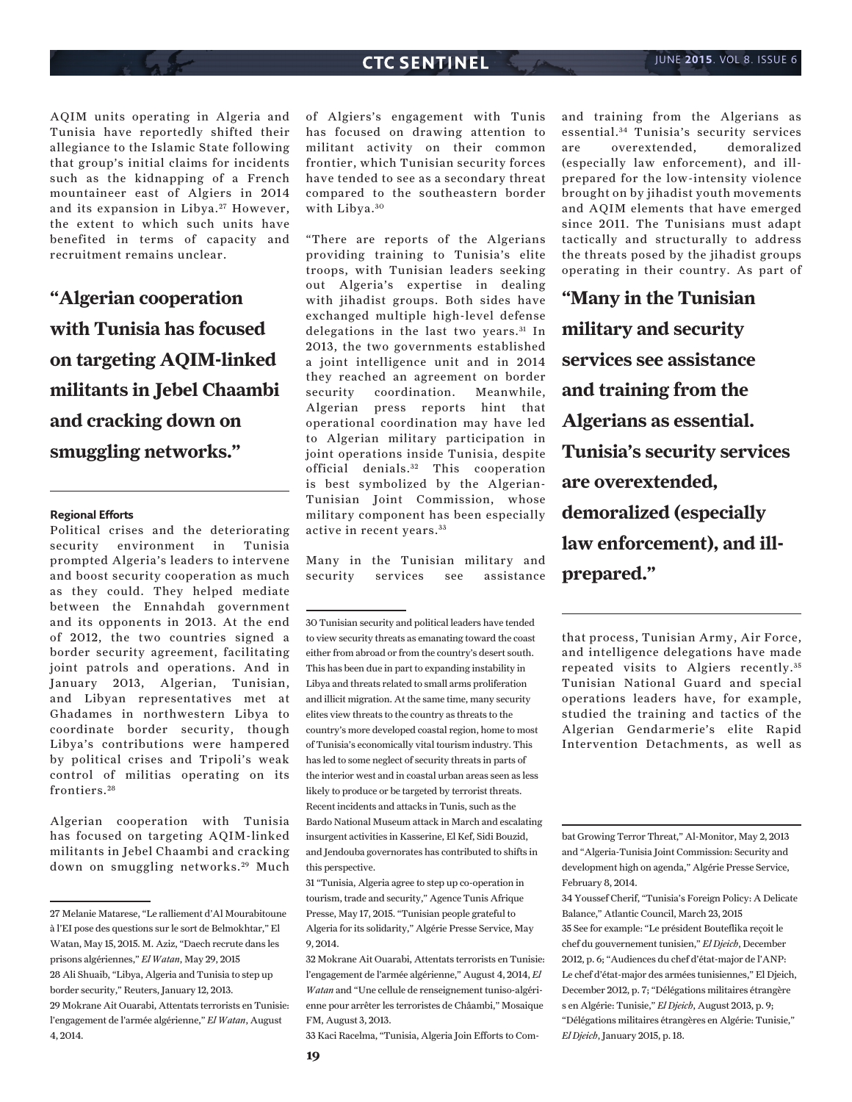AQIM units operating in Algeria and Tunisia have reportedly shifted their allegiance to the Islamic State following that group's initial claims for incidents such as the kidnapping of a French mountaineer east of Algiers in 2014 and its expansion in Libya.<sup>27</sup> However, the extent to which such units have benefited in terms of capacity and recruitment remains unclear.

**"Algerian cooperation with Tunisia has focused on targeting AQIM-linked militants in Jebel Chaambi and cracking down on smuggling networks."**

#### **Regional Efforts**

Political crises and the deteriorating security environment in Tunisia prompted Algeria's leaders to intervene and boost security cooperation as much as they could. They helped mediate between the Ennahdah government and its opponents in 2013. At the end of 2012, the two countries signed a border security agreement, facilitating joint patrols and operations. And in January 2013, Algerian, Tunisian, and Libyan representatives met at Ghadames in northwestern Libya to coordinate border security, though Libya's contributions were hampered by political crises and Tripoli's weak control of militias operating on its frontiers. <sup>28</sup>

Algerian cooperation with Tunisia has focused on targeting AQIM-linked militants in Jebel Chaambi and cracking down on smuggling networks.<sup>29</sup> Much

of Algiers's engagement with Tunis has focused on drawing attention to militant activity on their common frontier, which Tunisian security forces have tended to see as a secondary threat compared to the southeastern border with Libya.<sup>30</sup>

"There are reports of the Algerians providing training to Tunisia's elite troops, with Tunisian leaders seeking out Algeria's expertise in dealing with jihadist groups. Both sides have exchanged multiple high-level defense delegations in the last two years.<sup>31</sup> In 2013, the two governments established a joint intelligence unit and in 2014 they reached an agreement on border security coordination. Meanwhile, Algerian press reports hint that operational coordination may have led to Algerian military participation in joint operations inside Tunisia, despite official denials.<sup>32</sup> This cooperation is best symbolized by the Algerian-Tunisian Joint Commission, whose military component has been especially active in recent years. <sup>33</sup>

Many in the Tunisian military and security services see assistance

31 "Tunisia, Algeria agree to step up co-operation in tourism, trade and security," Agence Tunis Afrique Presse, May 17, 2015. "Tunisian people grateful to Algeria for its solidarity," Algérie Presse Service, May 9, 2014.

33 Kaci Racelma, "Tunisia, Algeria Join Efforts to Com-

and training from the Algerians as essential. 34 Tunisia's security services are overextended, demoralized (especially law enforcement), and illprepared for the low-intensity violence brought on by jihadist youth movements and AQIM elements that have emerged since 2011. The Tunisians must adapt tactically and structurally to address the threats posed by the jihadist groups operating in their country. As part of

**"Many in the Tunisian military and security services see assistance and training from the Algerians as essential. Tunisia's security services are overextended, demoralized (especially law enforcement), and illprepared."**

that process, Tunisian Army, Air Force, and intelligence delegations have made repeated visits to Algiers recently. <sup>35</sup> Tunisian National Guard and special operations leaders have, for example, studied the training and tactics of the Algerian Gendarmerie's elite Rapid Intervention Detachments, as well as

bat Growing Terror Threat," Al-Monitor, May 2, 2013 and "Algeria-Tunisia Joint Commission: Security and development high on agenda," Algérie Presse Service, February 8, 2014.

<sup>27</sup> Melanie Matarese, "Le ralliement d'Al Mourabitoune à l'EI pose des questions sur le sort de Belmokhtar," El Watan, May 15, 2015. M. Aziz, "Daech recrute dans les prisons algériennes," *El Watan*, May 29, 2015 28 Ali Shuaib, "Libya, Algeria and Tunisia to step up border security," Reuters, January 12, 2013. 29 Mokrane Ait Ouarabi, Attentats terrorists en Tunisie:

l'engagement de l'armée algérienne," *El Watan*, August 4, 2014.

<sup>30</sup> Tunisian security and political leaders have tended to view security threats as emanating toward the coast either from abroad or from the country's desert south. This has been due in part to expanding instability in Libya and threats related to small arms proliferation and illicit migration. At the same time, many security elites view threats to the country as threats to the country's more developed coastal region, home to most of Tunisia's economically vital tourism industry. This has led to some neglect of security threats in parts of the interior west and in coastal urban areas seen as less likely to produce or be targeted by terrorist threats. Recent incidents and attacks in Tunis, such as the Bardo National Museum attack in March and escalating insurgent activities in Kasserine, El Kef, Sidi Bouzid, and Jendouba governorates has contributed to shifts in this perspective.

<sup>32</sup> Mokrane Ait Ouarabi, Attentats terrorists en Tunisie: l'engagement de l'armée algérienne," August 4, 2014, *El Watan* and "Une cellule de renseignement tuniso-algérienne pour arrêter les terroristes de Châambi," Mosaique FM, August 3, 2013.

<sup>34</sup> Youssef Cherif, "Tunisia's Foreign Policy: A Delicate Balance," Atlantic Council, March 23, 2015 35 See for example: "Le président Bouteflika reçoit le chef du gouvernement tunisien," *El Djeich*, December 2012, p. 6; "Audiences du chef d'état-major de l'ANP: Le chef d'état-major des armées tunisiennes," El Djeich, December 2012, p. 7; "Délégations militaires étrangère s en Algérie: Tunisie," *El Djeich*, August 2013, p. 9; "Délégations militaires étrangères en Algérie: Tunisie," *El Djeich*, January 2015, p. 18.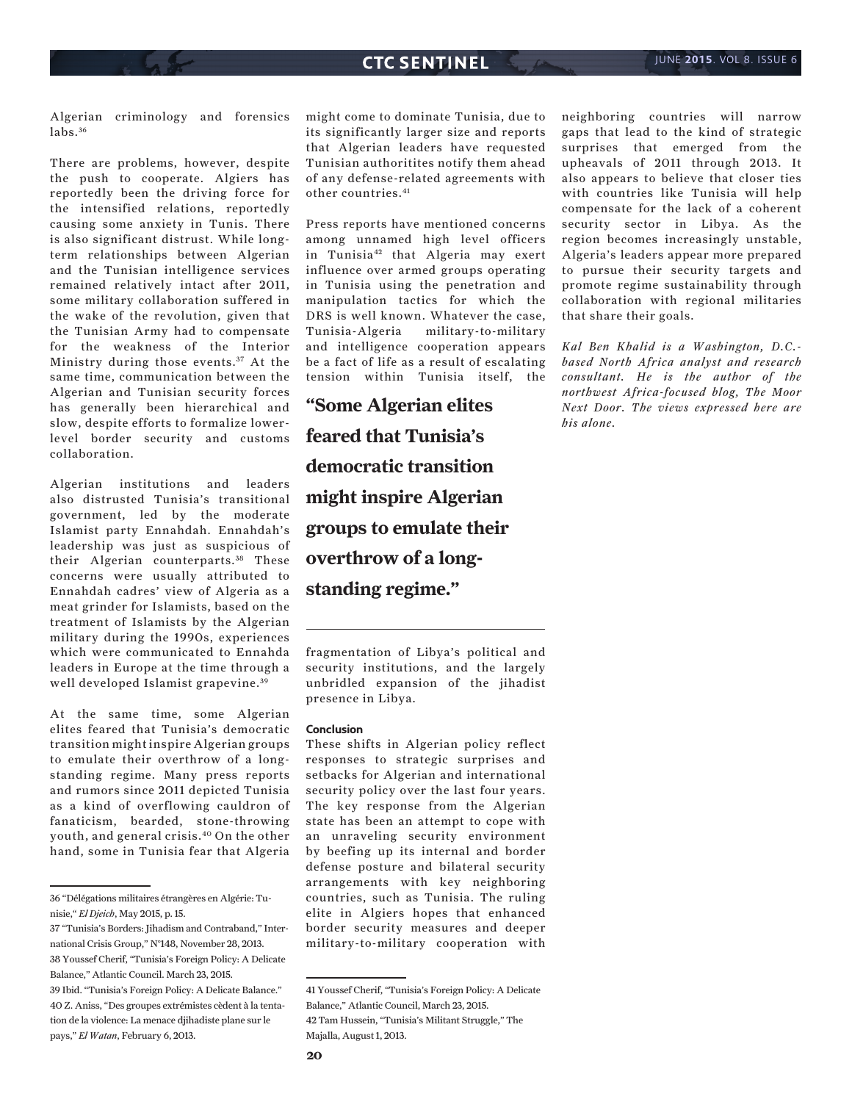Algerian criminology and forensics labs. <sup>36</sup>

There are problems, however, despite the push to cooperate. Algiers has reportedly been the driving force for the intensified relations, reportedly causing some anxiety in Tunis. There is also significant distrust. While longterm relationships between Algerian and the Tunisian intelligence services remained relatively intact after 2011, some military collaboration suffered in the wake of the revolution, given that the Tunisian Army had to compensate for the weakness of the Interior Ministry during those events.<sup>37</sup> At the same time, communication between the Algerian and Tunisian security forces has generally been hierarchical and slow, despite efforts to formalize lowerlevel border security and customs collaboration.

Algerian institutions and leaders also distrusted Tunisia's transitional government, led by the moderate Islamist party Ennahdah. Ennahdah's leadership was just as suspicious of their Algerian counterparts.<sup>38</sup> These concerns were usually attributed to Ennahdah cadres' view of Algeria as a meat grinder for Islamists, based on the treatment of Islamists by the Algerian military during the 1990s, experiences which were communicated to Ennahda leaders in Europe at the time through a well developed Islamist grapevine. <sup>39</sup>

At the same time, some Algerian elites feared that Tunisia's democratic transition might inspire Algerian groups to emulate their overthrow of a longstanding regime. Many press reports and rumors since 2011 depicted Tunisia as a kind of overflowing cauldron of fanaticism, bearded, stone-throwing youth, and general crisis.40 On the other hand, some in Tunisia fear that Algeria

might come to dominate Tunisia, due to its significantly larger size and reports that Algerian leaders have requested Tunisian authoritites notify them ahead of any defense-related agreements with other countries.<sup>41</sup>

Press reports have mentioned concerns among unnamed high level officers in Tunisia<sup>42</sup> that Algeria may exert influence over armed groups operating in Tunisia using the penetration and manipulation tactics for which the DRS is well known. Whatever the case, Tunisia-Algeria military-to-military and intelligence cooperation appears be a fact of life as a result of escalating tension within Tunisia itself, the

**"Some Algerian elites feared that Tunisia's democratic transition might inspire Algerian groups to emulate their overthrow of a longstanding regime."**

fragmentation of Libya's political and security institutions, and the largely unbridled expansion of the jihadist presence in Libya.

#### **Conclusion**

These shifts in Algerian policy reflect responses to strategic surprises and setbacks for Algerian and international security policy over the last four years. The key response from the Algerian state has been an attempt to cope with an unraveling security environment by beefing up its internal and border defense posture and bilateral security arrangements with key neighboring countries, such as Tunisia. The ruling elite in Algiers hopes that enhanced border security measures and deeper military-to-military cooperation with neighboring countries will narrow gaps that lead to the kind of strategic surprises that emerged from the upheavals of 2011 through 2013. It also appears to believe that closer ties with countries like Tunisia will help compensate for the lack of a coherent security sector in Libya. As the region becomes increasingly unstable, Algeria's leaders appear more prepared to pursue their security targets and promote regime sustainability through collaboration with regional militaries that share their goals.

*Kal Ben Khalid is a Washington, D.C. based North Africa analyst and research consultant. He is the author of the northwest Africa-focused blog, The Moor Next Door. The views expressed here are his alone.*

<sup>36 &</sup>quot;Délégations militaires étrangères en Algérie: Tunisie," *El Djeich*, May 2015, p. 15.

<sup>37 &</sup>quot;Tunisia's Borders: Jihadism and Contraband," International Crisis Group," N°148, November 28, 2013. 38 Youssef Cherif, "Tunisia's Foreign Policy: A Delicate Balance," Atlantic Council. March 23, 2015. 39 Ibid. "Tunisia's Foreign Policy: A Delicate Balance." 40 Z. Aniss, "Des groupes extrémistes cèdent à la tentation de la violence: La menace djihadiste plane sur le pays," *El Watan*, February 6, 2013.

<sup>41</sup> Youssef Cherif, "Tunisia's Foreign Policy: A Delicate Balance," Atlantic Council, March 23, 2015. 42 Tam Hussein, "Tunisia's Militant Struggle," The Majalla, August 1, 2013.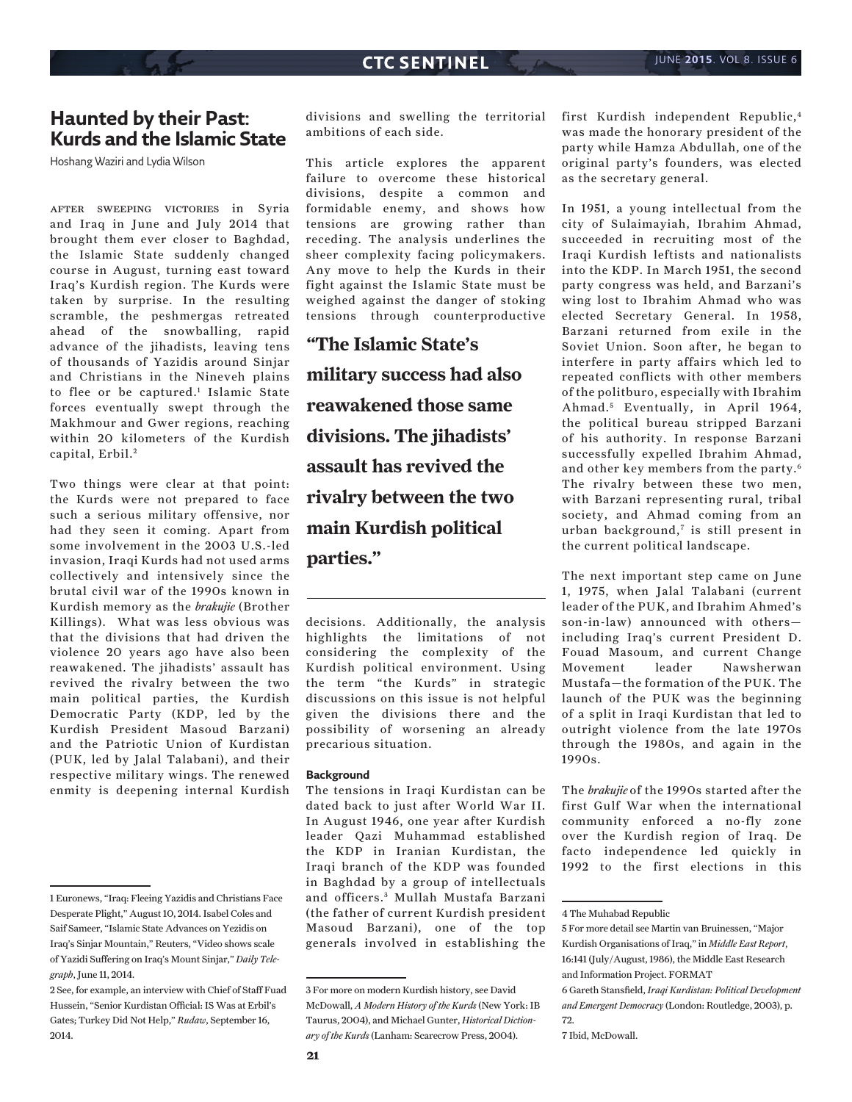## **Haunted by their Past: Kurds and the Islamic State**

Hoshang Waziri and Lydia Wilson

after sweeping victories in Syria and Iraq in June and July 2014 that brought them ever closer to Baghdad, the Islamic State suddenly changed course in August, turning east toward Iraq's Kurdish region. The Kurds were taken by surprise. In the resulting scramble, the peshmergas retreated ahead of the snowballing, rapid advance of the jihadists, leaving tens of thousands of Yazidis around Sinjar and Christians in the Nineveh plains to flee or be captured.<sup>1</sup> Islamic State forces eventually swept through the Makhmour and Gwer regions, reaching within 20 kilometers of the Kurdish capital, Erbil.<sup>2</sup>

Two things were clear at that point: the Kurds were not prepared to face such a serious military offensive, nor had they seen it coming. Apart from some involvement in the 2003 U.S.-led invasion, Iraqi Kurds had not used arms collectively and intensively since the brutal civil war of the 1990s known in Kurdish memory as the *brakujie* (Brother Killings). What was less obvious was that the divisions that had driven the violence 20 years ago have also been reawakened. The jihadists' assault has revived the rivalry between the two main political parties, the Kurdish Democratic Party (KDP, led by the Kurdish President Masoud Barzani) and the Patriotic Union of Kurdistan (PUK, led by Jalal Talabani), and their respective military wings. The renewed enmity is deepening internal Kurdish

divisions and swelling the territorial ambitions of each side.

This article explores the apparent failure to overcome these historical divisions, despite a common and formidable enemy, and shows how tensions are growing rather than receding. The analysis underlines the sheer complexity facing policymakers. Any move to help the Kurds in their fight against the Islamic State must be weighed against the danger of stoking tensions through counterproductive

**"The Islamic State's military success had also reawakened those same divisions. The jihadists' assault has revived the rivalry between the two main Kurdish political parties."**

decisions. Additionally, the analysis highlights the limitations of not considering the complexity of the Kurdish political environment. Using the term "the Kurds" in strategic discussions on this issue is not helpful given the divisions there and the possibility of worsening an already precarious situation.

#### **Background**

The tensions in Iraqi Kurdistan can be dated back to just after World War II. In August 1946, one year after Kurdish leader Qazi Muhammad established the KDP in Iranian Kurdistan, the Iraqi branch of the KDP was founded in Baghdad by a group of intellectuals and officers.<sup>3</sup> Mullah Mustafa Barzani (the father of current Kurdish president Masoud Barzani), one of the top generals involved in establishing the first Kurdish independent Republic,4 was made the honorary president of the party while Hamza Abdullah, one of the original party's founders, was elected as the secretary general.

In 1951, a young intellectual from the city of Sulaimayiah, Ibrahim Ahmad, succeeded in recruiting most of the Iraqi Kurdish leftists and nationalists into the KDP. In March 1951, the second party congress was held, and Barzani's wing lost to Ibrahim Ahmad who was elected Secretary General. In 1958, Barzani returned from exile in the Soviet Union. Soon after, he began to interfere in party affairs which led to repeated conflicts with other members of the politburo, especially with Ibrahim Ahmad.<sup>5</sup> Eventually, in April 1964, the political bureau stripped Barzani of his authority. In response Barzani successfully expelled Ibrahim Ahmad, and other key members from the party.6 The rivalry between these two men, with Barzani representing rural, tribal society, and Ahmad coming from an urban background, $^7$  is still present in the current political landscape.

The next important step came on June 1, 1975, when Jalal Talabani (current leader of the PUK, and Ibrahim Ahmed's son-in-law) announced with others including Iraq's current President D. Fouad Masoum, and current Change Movement leader Nawsherwan Mustafa—the formation of the PUK. The launch of the PUK was the beginning of a split in Iraqi Kurdistan that led to outright violence from the late 1970s through the 1980s, and again in the 1990s.

The *brakujie* of the 1990s started after the first Gulf War when the international community enforced a no-fly zone over the Kurdish region of Iraq. De facto independence led quickly in 1992 to the first elections in this

<sup>1</sup> Euronews, "Iraq: Fleeing Yazidis and Christians Face Desperate Plight," August 10, 2014. Isabel Coles and Saif Sameer, "Islamic State Advances on Yezidis on Iraq's Sinjar Mountain," Reuters, "Video shows scale of Yazidi Suffering on Iraq's Mount Sinjar," *Daily Telegraph*, June 11, 2014.

<sup>2</sup> See, for example, an interview with Chief of Staff Fuad Hussein, "Senior Kurdistan Official: IS Was at Erbil's Gates; Turkey Did Not Help," *Rudaw*, September 16, 2014.

<sup>3</sup> For more on modern Kurdish history, see David McDowall, *A Modern History of the Kurds* (New York: IB Taurus, 2004), and Michael Gunter, *Historical Dictionary of the Kurds* (Lanham: Scarecrow Press, 2004).

<sup>4</sup> The Muhabad Republic

<sup>5</sup> For more detail see Martin van Bruinessen, "Major Kurdish Organisations of Iraq," in *Middle East Report*, 16:141 (July/August, 1986), the Middle East Research and Information Project. FORMAT 6 Gareth Stansfield, *Iraqi Kurdistan: Political Development and Emergent Democracy* (London: Routledge, 2003), p. 72.

<sup>7</sup> Ibid, McDowall.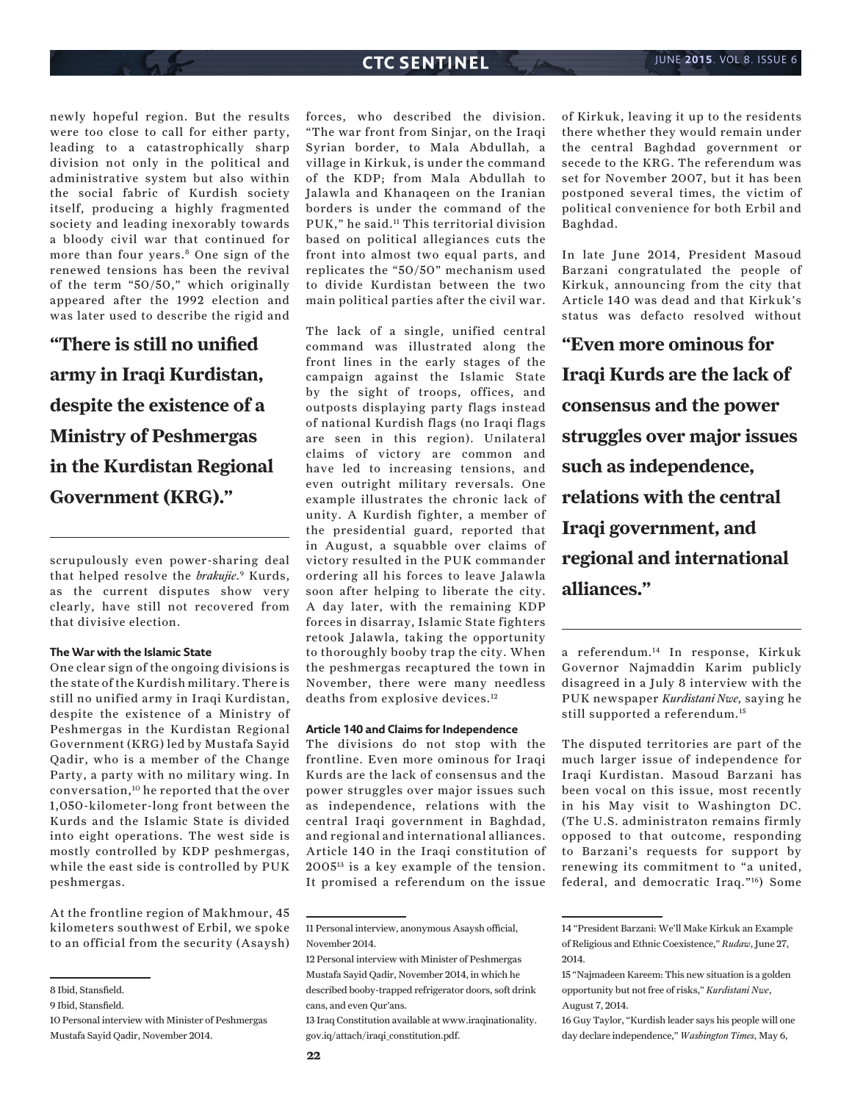newly hopeful region. But the results were too close to call for either party, leading to a catastrophically sharp division not only in the political and administrative system but also within the social fabric of Kurdish society itself, producing a highly fragmented society and leading inexorably towards a bloody civil war that continued for more than four years.8 One sign of the renewed tensions has been the revival of the term "50/50," which originally appeared after the 1992 election and was later used to describe the rigid and

**"There is still no unified army in Iraqi Kurdistan, despite the existence of a Ministry of Peshmergas in the Kurdistan Regional Government (KRG)."**

scrupulously even power-sharing deal that helped resolve the *brakujie*. 9 Kurds, as the current disputes show very clearly, have still not recovered from that divisive election.

#### **The War with the Islamic State**

One clear sign of the ongoing divisions is the state of the Kurdish military. There is still no unified army in Iraqi Kurdistan, despite the existence of a Ministry of Peshmergas in the Kurdistan Regional Government (KRG) led by Mustafa Sayid Qadir, who is a member of the Change Party, a party with no military wing. In conversation,10 he reported that the over 1,050-kilometer-long front between the Kurds and the Islamic State is divided into eight operations. The west side is mostly controlled by KDP peshmergas, while the east side is controlled by PUK peshmergas.

At the frontline region of Makhmour, 45 kilometers southwest of Erbil, we spoke to an official from the security (Asaysh) forces, who described the division. "The war front from Sinjar, on the Iraqi Syrian border, to Mala Abdullah, a village in Kirkuk, is under the command of the KDP; from Mala Abdullah to Jalawla and Khanaqeen on the Iranian borders is under the command of the PUK," he said.11 This territorial division based on political allegiances cuts the front into almost two equal parts, and replicates the "50/50" mechanism used to divide Kurdistan between the two main political parties after the civil war.

The lack of a single, unified central command was illustrated along the front lines in the early stages of the campaign against the Islamic State by the sight of troops, offices, and outposts displaying party flags instead of national Kurdish flags (no Iraqi flags are seen in this region). Unilateral claims of victory are common and have led to increasing tensions, and even outright military reversals. One example illustrates the chronic lack of unity. A Kurdish fighter, a member of the presidential guard, reported that in August, a squabble over claims of victory resulted in the PUK commander ordering all his forces to leave Jalawla soon after helping to liberate the city. A day later, with the remaining KDP forces in disarray, Islamic State fighters retook Jalawla, taking the opportunity to thoroughly booby trap the city. When the peshmergas recaptured the town in November, there were many needless deaths from explosive devices.<sup>12</sup>

#### **Article 140 and Claims for Independence**

The divisions do not stop with the frontline. Even more ominous for Iraqi Kurds are the lack of consensus and the power struggles over major issues such as independence, relations with the central Iraqi government in Baghdad, and regional and international alliances. Article 140 in the Iraqi constitution of 200513 is a key example of the tension. It promised a referendum on the issue of Kirkuk, leaving it up to the residents there whether they would remain under the central Baghdad government or secede to the KRG. The referendum was set for November 2007, but it has been postponed several times, the victim of political convenience for both Erbil and Baghdad.

In late June 2014, President Masoud Barzani congratulated the people of Kirkuk, announcing from the city that Article 140 was dead and that Kirkuk's status was defacto resolved without

**"Even more ominous for Iraqi Kurds are the lack of consensus and the power struggles over major issues such as independence, relations with the central Iraqi government, and regional and international alliances."**

a referendum.14 In response, Kirkuk Governor Najmaddin Karim publicly disagreed in a July 8 interview with the PUK newspaper *Kurdistani Nwe*, saying he still supported a referendum.15

The disputed territories are part of the much larger issue of independence for Iraqi Kurdistan. Masoud Barzani has been vocal on this issue, most recently in his May visit to Washington DC. (The U.S. administraton remains firmly opposed to that outcome, responding to Barzani's requests for support by renewing its commitment to "a united, federal, and democratic Iraq."16) Some

<sup>8</sup> Ibid, Stansfield.

<sup>9</sup> Ibid, Stansfield.

<sup>10</sup> Personal interview with Minister of Peshmergas Mustafa Sayid Qadir, November 2014.

<sup>11</sup> Personal interview, anonymous Asaysh official, November 2014.

<sup>12</sup> Personal interview with Minister of Peshmergas Mustafa Sayid Qadir, November 2014, in which he described booby-trapped refrigerator doors, soft drink cans, and even Qur'ans.

<sup>13</sup> Iraq Constitution available at www.iraqinationality. gov.iq/attach/iraqi\_constitution.pdf.

<sup>14 &</sup>quot;President Barzani: We'll Make Kirkuk an Example of Religious and Ethnic Coexistence," *Rudaw*, June 27, 2014.

<sup>15 &</sup>quot;Najmadeen Kareem: This new situation is a golden opportunity but not free of risks," *Kurdistani Nwe*, August 7, 2014.

<sup>16</sup> Guy Taylor, "Kurdish leader says his people will one day declare independence," *Washington Times*, May 6,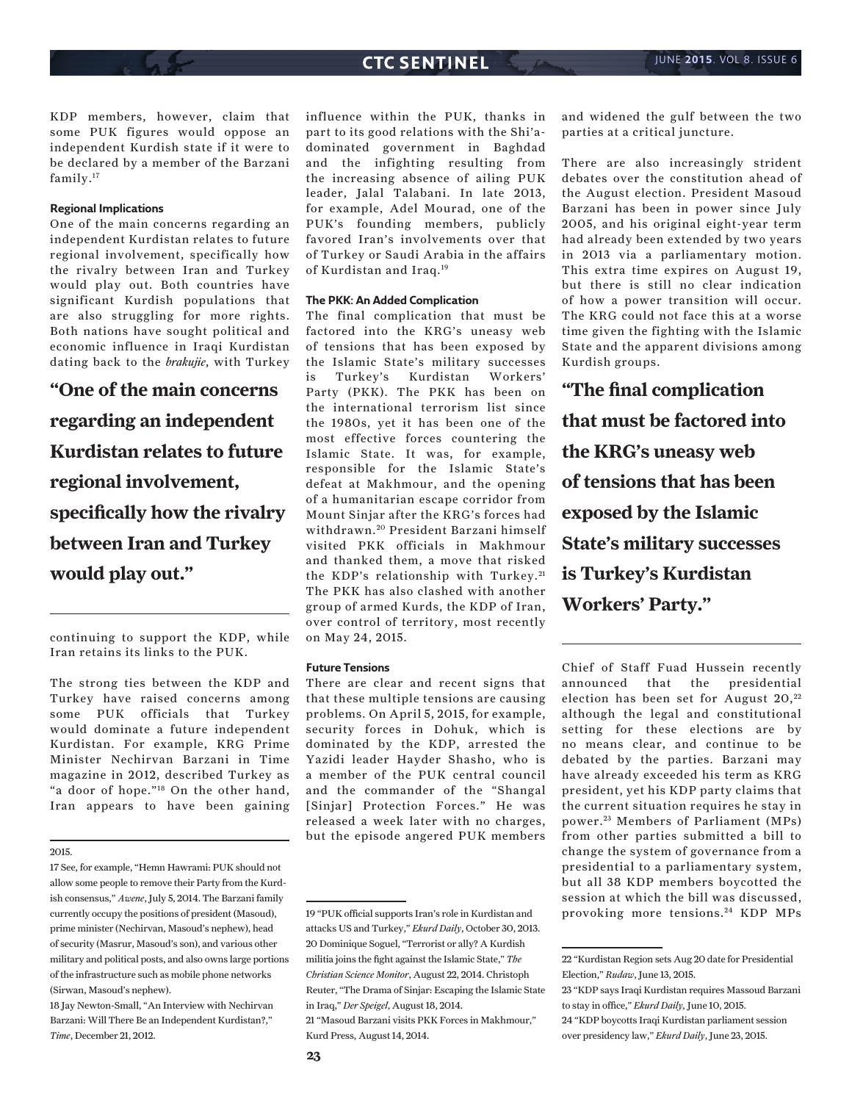KDP members, however, claim that some PUK figures would oppose an independent Kurdish state if it were to be declared by a member of the Barzani family.17

#### **Regional Implications**

One of the main concerns regarding an independent Kurdistan relates to future regional involvement, specifically how the rivalry between Iran and Turkey would play out. Both countries have significant Kurdish populations that are also struggling for more rights. Both nations have sought political and economic influence in Iraqi Kurdistan dating back to the *brakujie*, with Turkey

**"One of the main concerns regarding an independent Kurdistan relates to future regional involvement, specifically how the rivalry between Iran and Turkey would play out."**

continuing to support the KDP, while Iran retains its links to the PUK.

The strong ties between the KDP and Turkey have raised concerns among some PUK officials that Turkey would dominate a future independent Kurdistan. For example, KRG Prime Minister Nechirvan Barzani in Time magazine in 2012, described Turkey as "a door of hope."18 On the other hand, Iran appears to have been gaining

#### 2015.

18 Jay Newton-Small, "An Interview with Nechirvan Barzani: Will There Be an Independent Kurdistan?," *Time*, December 21, 2012.

influence within the PUK, thanks in part to its good relations with the Shi'adominated government in Baghdad and the infighting resulting from the increasing absence of ailing PUK leader, Jalal Talabani. In late 2013, for example, Adel Mourad, one of the PUK's founding members, publicly favored Iran's involvements over that of Turkey or Saudi Arabia in the affairs of Kurdistan and Iraq.19

#### **The PKK: An Added Complication**

The final complication that must be factored into the KRG's uneasy web of tensions that has been exposed by the Islamic State's military successes is Turkey's Kurdistan Workers' Party (PKK). The PKK has been on the international terrorism list since the 1980s, yet it has been one of the most effective forces countering the Islamic State. It was, for example, responsible for the Islamic State's defeat at Makhmour, and the opening of a humanitarian escape corridor from Mount Sinjar after the KRG's forces had withdrawn. 20 President Barzani himself visited PKK officials in Makhmour and thanked them, a move that risked the KDP's relationship with Turkey.<sup>21</sup> The PKK has also clashed with another group of armed Kurds, the KDP of Iran, over control of territory, most recently on May 24, 2015.

#### **Future Tensions**

There are clear and recent signs that that these multiple tensions are causing problems. On April 5, 2015, for example, security forces in Dohuk, which is dominated by the KDP, arrested the Yazidi leader Hayder Shasho, who is a member of the PUK central council and the commander of the "Shangal [Sinjar] Protection Forces." He was released a week later with no charges, but the episode angered PUK members and widened the gulf between the two parties at a critical juncture.

There are also increasingly strident debates over the constitution ahead of the August election. President Masoud Barzani has been in power since July 2005, and his original eight-year term had already been extended by two years in 2013 via a parliamentary motion. This extra time expires on August 19, but there is still no clear indication of how a power transition will occur. The KRG could not face this at a worse time given the fighting with the Islamic State and the apparent divisions among Kurdish groups.

**"The final complication that must be factored into the KRG's uneasy web of tensions that has been exposed by the Islamic State's military successes is Turkey's Kurdistan Workers' Party."**

Chief of Staff Fuad Hussein recently announced that the presidential election has been set for August  $20$ <sup>22</sup> although the legal and constitutional setting for these elections are by no means clear, and continue to be debated by the parties. Barzani may have already exceeded his term as KRG president, yet his KDP party claims that the current situation requires he stay in power. 23 Members of Parliament (MPs) from other parties submitted a bill to change the system of governance from a presidential to a parliamentary system, but all 38 KDP members boycotted the session at which the bill was discussed, provoking more tensions. 24 KDP MPs

<sup>17</sup> See, for example, "Hemn Hawrami: PUK should not allow some people to remove their Party from the Kurdish consensus," *Awene*, July 5, 2014. The Barzani family currently occupy the positions of president (Masoud), prime minister (Nechirvan, Masoud's nephew), head of security (Masrur, Masoud's son), and various other military and political posts, and also owns large portions of the infrastructure such as mobile phone networks (Sirwan, Masoud's nephew).

<sup>19 &</sup>quot;PUK official supports Iran's role in Kurdistan and attacks US and Turkey," *Ekurd Daily*, October 30, 2013. 20 Dominique Soguel, "Terrorist or ally? A Kurdish militia joins the fight against the Islamic State," *The Christian Science Monitor*, August 22, 2014. Christoph Reuter, "The Drama of Sinjar: Escaping the Islamic State in Iraq," *Der Speigel*, August 18, 2014.

<sup>21 &</sup>quot;Masoud Barzani visits PKK Forces in Makhmour," Kurd Press, August 14, 2014.

<sup>22 &</sup>quot;Kurdistan Region sets Aug 20 date for Presidential Election," *Rudaw*, June 13, 2015.

<sup>23 &</sup>quot;KDP says Iraqi Kurdistan requires Massoud Barzani to stay in office," *Ekurd Daily,* June 10, 2015. 24 "KDP boycotts Iraqi Kurdistan parliament session

over presidency law," *Ekurd Daily*, June 23, 2015.